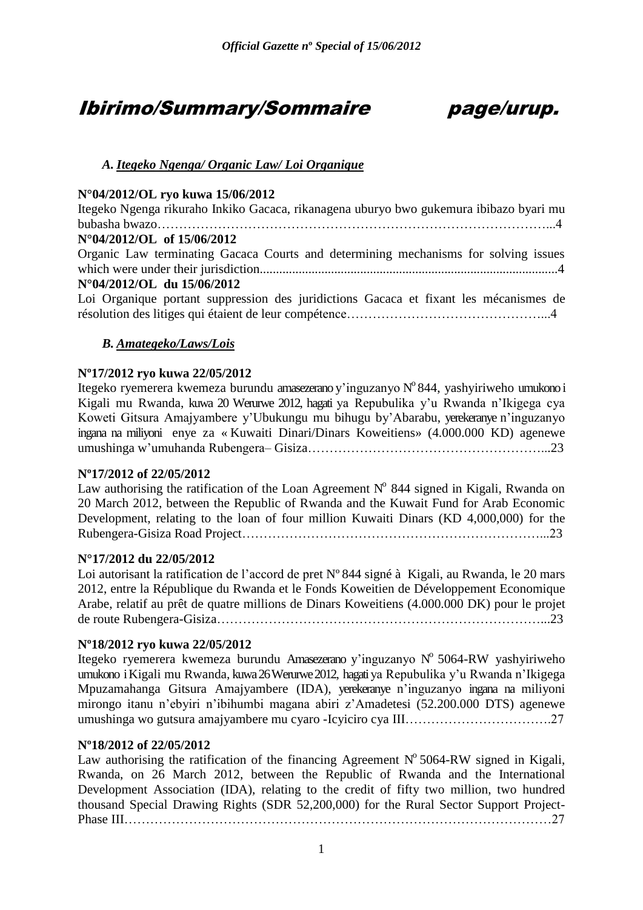# Ibirimo/Summary/Sommaire page/urup.



# *A. Itegeko Ngenga/ Organic Law/ Loi Organique*

# **N°04/2012/OL ryo kuwa 15/06/2012**

Itegeko Ngenga rikuraho Inkiko Gacaca, rikanagena uburyo bwo gukemura ibibazo byari mu bubasha bwazo………………………………………………………………………………...4 **N°04/2012/OL of 15/06/2012** Organic Law terminating Gacaca Courts and determining mechanisms for solving issues which were under their jurisdiction............................................................................................4 **N°04/2012/OL du 15/06/2012** Loi Organique portant suppression des juridictions Gacaca et fixant les mécanismes de résolution des litiges qui étaient de leur compétence………………………………………...4

# *B. Amategeko/Laws/Lois*

# **Nº17/2012 ryo kuwa 22/05/2012**

Itegeko ryemerera kwemeza burundu amasezerano y'inguzanyo N°844, yashyiriweho umukono i Kigali mu Rwanda, kuwa 20 Werurwe 2012, hagati ya Repubulika y"u Rwanda n"Ikigega cya Koweti Gitsura Amajyambere y"Ubukungu mu bihugu by"Abarabu, yerekeranye n"inguzanyo ingana na miliyoni enye za « Kuwaiti Dinari/Dinars Koweitiens» (4.000.000 KD) agenewe umushinga w"umuhanda Rubengera– Gisiza………………………………………………...23

# **Nº17/2012 of 22/05/2012**

Law authorising the ratification of the Loan Agreement  $N^{\circ}$  844 signed in Kigali, Rwanda on 20 March 2012, between the Republic of Rwanda and the Kuwait Fund for Arab Economic Development, relating to the loan of four million Kuwaiti Dinars (KD 4,000,000) for the Rubengera-Gisiza Road Project……………………………………………………………...23

# **N°17/2012 du 22/05/2012**

Loi autorisant la ratification de l'accord de pret N° 844 signé à Kigali, au Rwanda, le 20 mars 2012, entre la République du Rwanda et le Fonds Koweitien de Développement Economique Arabe, relatif au prêt de quatre millions de Dinars Koweitiens (4.000.000 DK) pour le projet de route Rubengera-Gisiza…………………………………………………………………...23

# **Nº18/2012 ryo kuwa 22/05/2012**

Itegeko ryemerera kwemeza burundu Amasezerano y'inguzanyo Nº 5064-RW yashyiriweho umukono iKigali mu Rwanda, kuwa 26 Werurwe 2012, hagati ya Repubulika y"u Rwanda n"Ikigega Mpuzamahanga Gitsura Amajyambere (IDA), yerekeranye n"inguzanyo ingana na miliyoni mirongo itanu n"ebyiri n"ibihumbi magana abiri z"Amadetesi (52.200.000 DTS) agenewe umushinga wo gutsura amajyambere mu cyaro -Icyiciro cya III…………………………….27

# **Nº18/2012 of 22/05/2012**

Law authorising the ratification of the financing Agreement  $N^{\circ}$  5064-RW signed in Kigali, Rwanda, on 26 March 2012, between the Republic of Rwanda and the International Development Association (IDA), relating to the credit of fifty two million, two hundred thousand Special Drawing Rights (SDR 52,200,000) for the Rural Sector Support Project-Phase III………………………………………………………………………………………27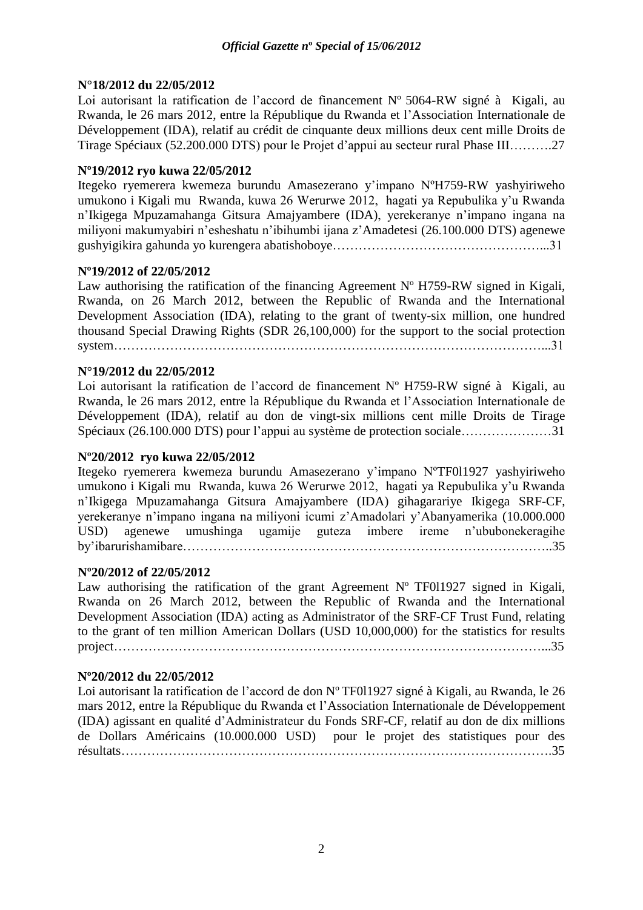# **N°18/2012 du 22/05/2012**

Loi autorisant la ratification de l'accord de financement N° 5064-RW signé à Kigali, au Rwanda, le 26 mars 2012, entre la République du Rwanda et l"Association Internationale de Développement (IDA), relatif au crédit de cinquante deux millions deux cent mille Droits de Tirage Spéciaux (52.200.000 DTS) pour le Projet d"appui au secteur rural Phase III……….27

# **Nº19/2012 ryo kuwa 22/05/2012**

Itegeko ryemerera kwemeza burundu Amasezerano y"impano NºH759-RW yashyiriweho umukono i Kigali mu Rwanda, kuwa 26 Werurwe 2012, hagati ya Repubulika y"u Rwanda n"Ikigega Mpuzamahanga Gitsura Amajyambere (IDA), yerekeranye n"impano ingana na miliyoni makumyabiri n"esheshatu n"ibihumbi ijana z"Amadetesi (26.100.000 DTS) agenewe gushyigikira gahunda yo kurengera abatishoboye…………………………………………...31

# **Nº19/2012 of 22/05/2012**

Law authorising the ratification of the financing Agreement  $N^{\circ}$  H759-RW signed in Kigali, Rwanda, on 26 March 2012, between the Republic of Rwanda and the International Development Association (IDA), relating to the grant of twenty-six million, one hundred thousand Special Drawing Rights (SDR 26,100,000) for the support to the social protection system………………………………………………………………………………………...31

# **N°19/2012 du 22/05/2012**

Loi autorisant la ratification de l'accord de financement N° H759-RW signé à Kigali, au Rwanda, le 26 mars 2012, entre la République du Rwanda et l"Association Internationale de Développement (IDA), relatif au don de vingt-six millions cent mille Droits de Tirage Spéciaux (26.100.000 DTS) pour l"appui au système de protection sociale…………………31

# **Nº20/2012 ryo kuwa 22/05/2012**

Itegeko ryemerera kwemeza burundu Amasezerano y"impano NºTF0l1927 yashyiriweho umukono i Kigali mu Rwanda, kuwa 26 Werurwe 2012, hagati ya Repubulika y"u Rwanda n"Ikigega Mpuzamahanga Gitsura Amajyambere (IDA) gihagarariye Ikigega SRF-CF, yerekeranye n"impano ingana na miliyoni icumi z"Amadolari y"Abanyamerika (10.000.000 USD) agenewe umushinga ugamije guteza imbere ireme n"ububonekeragihe by"ibarurishamibare…………………………………………………………………………..35

# **Nº20/2012 of 22/05/2012**

Law authorising the ratification of the grant Agreement  $N^{\circ}$  TF011927 signed in Kigali, Rwanda on 26 March 2012, between the Republic of Rwanda and the International Development Association (IDA) acting as Administrator of the SRF-CF Trust Fund, relating to the grant of ten million American Dollars (USD 10,000,000) for the statistics for results project………………………………………………………………………………………...35

# **Nº20/2012 du 22/05/2012**

Loi autorisant la ratification de l'accord de don N° TF011927 signé à Kigali, au Rwanda, le 26 mars 2012, entre la République du Rwanda et l"Association Internationale de Développement (IDA) agissant en qualité d"Administrateur du Fonds SRF-CF, relatif au don de dix millions de Dollars Américains (10.000.000 USD) pour le projet des statistiques pour des résultats……………………………………………………………………………………….35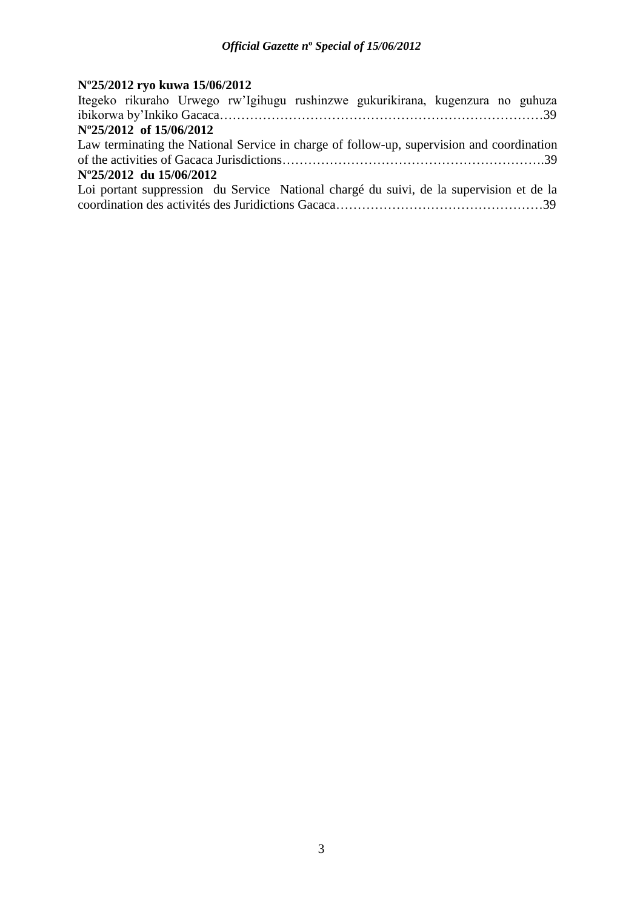# **Nº25/2012 ryo kuwa 15/06/2012**

| Itegeko rikuraho Urwego rw'Igihugu rushinzwe gukurikirana, kugenzura no guhuza            |  |
|-------------------------------------------------------------------------------------------|--|
|                                                                                           |  |
| N°25/2012 of 15/06/2012                                                                   |  |
| Law terminating the National Service in charge of follow-up, supervision and coordination |  |
|                                                                                           |  |
|                                                                                           |  |
| N°25/2012 du 15/06/2012                                                                   |  |
| Loi portant suppression du Service National chargé du suivi, de la supervision et de la   |  |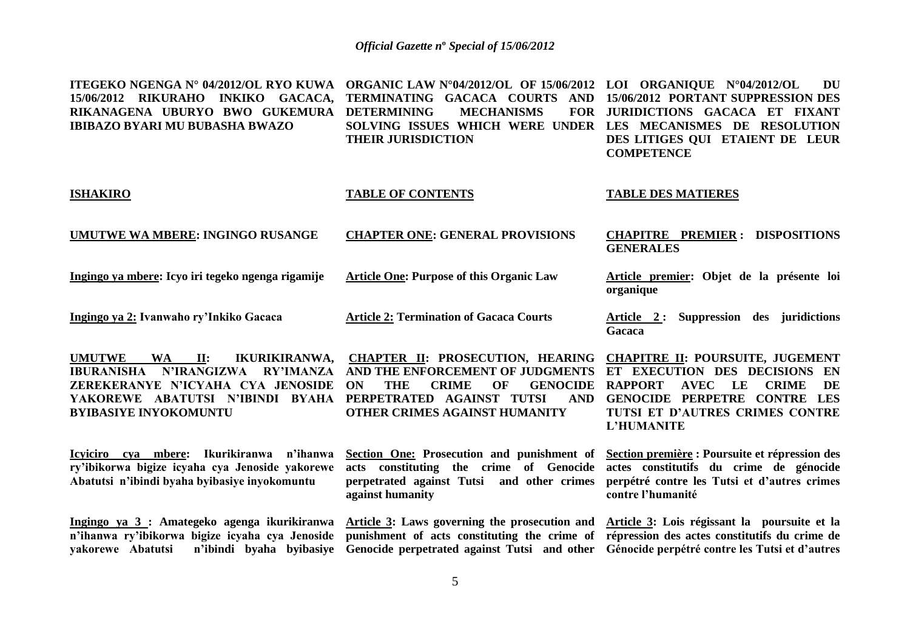**ITEGEKO NGENGA N° 04/2012/OL RYO KUWA ORGANIC LAW N°04/2012/OL OF 15/06/2012 LOI ORGANIQUE N°04/2012/OL DU 15/06/2012 RIKURAHO INKIKO GACACA, RIKANAGENA UBURYO BWO GUKEMURA DETERMINING MECHANISMS FOR IBIBAZO BYARI MU BUBASHA BWAZO TERMINATING GACACA COURTS AND 15/06/2012 PORTANT SUPPRESSION DES SOLVING ISSUES WHICH WERE UNDER LES MECANISMES DE RESOLUTION THEIR JURISDICTION JURIDICTIONS GACACA ET FIXANT DES LITIGES QUI ETAIENT DE LEUR COMPETENCE** 

#### **ISHAKIRO**

#### **TABLE OF CONTENTS**

#### **TABLE DES MATIERES**

**GENERALES**

**organique**

**UMUTWE WA MBERE: INGINGO RUSANGE**

**CHAPTER ONE: GENERAL PROVISIONS**

**Ingingo ya mbere: Icyo iri tegeko ngenga rigamije**

**Article One: Purpose of this Organic Law**

**Ingingo ya 2: Ivanwaho ry'Inkiko Gacaca**

**Article 2: Termination of Gacaca Courts**

**IBURANISHA N'IRANGIZWA RY'IMANZA AND THE ENFORCEMENT OF JUDGMENTS ET EXECUTION DES DECISIONS EN ZEREKERANYE N'ICYAHA CYA JENOSIDE YAKOREWE ABATUTSI N'IBINDI BYAHA PERPETRATED AGAINST TUTSI AND BYIBASIYE INYOKOMUNTU**

**Icyiciro cya mbere: Ikurikiranwa n'ihanwa ry'ibikorwa bigize icyaha cya Jenoside yakorewe Abatutsi n'ibindi byaha byibasiye inyokomuntu**

**n'ihanwa ry'ibikorwa bigize icyaha cya Jenoside punishment of acts constituting the crime of répression des actes constitutifs du crime de** 

**UMUTWE WA II: IKURIKIRANWA, CHAPTER II: PROSECUTION, HEARING ON THE CRIME OF GENOCIDE RAPPORT AVEC LE CRIME DE OTHER CRIMES AGAINST HUMANITY**

> **Section One: Prosecution and punishment of acts constituting the crime of Genocide actes constitutifs du crime de génocide perpetrated against Tutsi and other crimes against humanity**

**Article 2 : Suppression des juridictions Gacaca**

**CHAPITRE PREMIER : DISPOSITIONS** 

**Article premier: Objet de la présente loi** 

**CHAPITRE II: POURSUITE, JUGEMENT GENOCIDE PERPETRE CONTRE LES TUTSI ET D'AUTRES CRIMES CONTRE L'HUMANITE**

**Section première : Poursuite et répression des perpétré contre les Tutsi et d'autres crimes contre l'humanité**

Ingingo ya 3 : Amategeko agenga ikurikiranwa Article 3: Laws governing the prosecution and Article 3: Lois régissant la poursuite et la **yakorewe Abatutsi n'ibindi byaha byibasiye Genocide perpetrated against Tutsi and other Génocide perpétré contre les Tutsi et d'autres**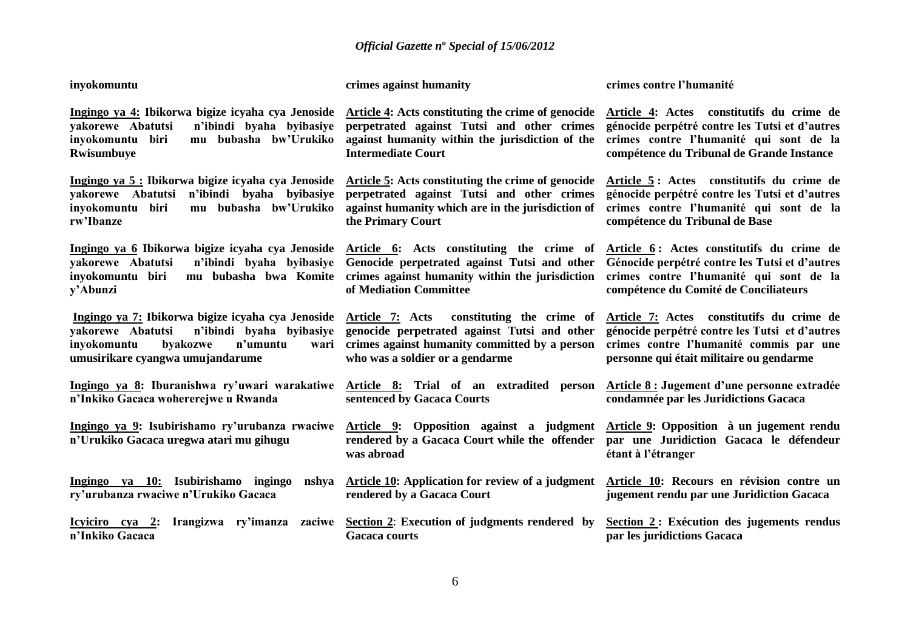**inyokomuntu** 

**crimes against humanity** 

**yakorewe Abatutsi n'ibindi byaha byibasiye perpetrated against Tutsi and other crimes inyokomuntu biri mu bubasha bw'Urukiko Rwisumbuye**

**yakorewe Abatutsi n'ibindi byaha byibasiye perpetrated against Tutsi and other crimes inyokomuntu biri mu bubasha bw'Urukiko rw'Ibanze**

**Ingingo ya 6 Ibikorwa bigize icyaha cya Jenoside Article 6: Acts constituting the crime of yakorewe Abatutsi n'ibindi byaha byibasiye Genocide perpetrated against Tutsi and other inyokomuntu biri mu bubasha bwa Komite crimes against humanity within the jurisdiction y'Abunzi**

**yakorewe Abatutsi n'ibindi byaha byibasiye genocide perpetrated against Tutsi and other inyokomuntu byakozwe n'umuntu umusirikare cyangwa umujandarume**

**Ingingo ya 8: Iburanishwa ry'uwari warakatiwe Article 8: Trial of an extradited person n'Inkiko Gacaca wohererejwe u Rwanda**

**Ingingo ya 9: Isubirishamo ry'urubanza rwaciwe Article 9: Opposition against a judgment Article 9: Opposition à un jugement rendu n'Urukiko Gacaca uregwa atari mu gihugu**

**Ingingo ya 10: Isubirishamo ingingo nshya ry'urubanza rwaciwe n'Urukiko Gacaca**

**n'Inkiko Gacaca**

**Ingingo ya 4: Ibikorwa bigize icyaha cya Jenoside Article 4: Acts constituting the crime of genocide against humanity within the jurisdiction of the Intermediate Court**

**Ingingo ya 5 : Ibikorwa bigize icyaha cya Jenoside Article 5: Acts constituting the crime of genocide against humanity which are in the jurisdiction of the Primary Court**

**of Mediation Committee**

**Ingingo ya 7: Ibikorwa bigize icyaha cya Jenoside Article 7: Acts constituting the crime of crimes against humanity committed by a person who was a soldier or a gendarme**

**sentenced by Gacaca Courts**

**rendered by a Gacaca Court while the offender was abroad**

**Article 10: Application for review of a judgment rendered by a Gacaca Court**

**Icyiciro** cya 2: Irangizwa ry'imanza zaciwe **Section 2: Execution of judgments rendered** by **Gacaca courts**

**crimes contre l'humanité** 

**Article 4: Actes constitutifs du crime de génocide perpétré contre les Tutsi et d'autres crimes contre l'humanité qui sont de la compétence du Tribunal de Grande Instance**

**Article 5 : Actes constitutifs du crime de génocide perpétré contre les Tutsi et d'autres crimes contre l'humanité qui sont de la compétence du Tribunal de Base**

**Article 6 : Actes constitutifs du crime de Génocide perpétré contre les Tutsi et d'autres crimes contre l'humanité qui sont de la compétence du Comité de Conciliateurs**

**Article 7: Actes constitutifs du crime de génocide perpétré contre les Tutsi et d'autres crimes contre l'humanité commis par une personne qui était militaire ou gendarme**

**Article 8 : Jugement d'une personne extradée condamnée par les Juridictions Gacaca**

**par une Juridiction Gacaca le défendeur étant à l'étranger**

**Article 10: Recours en révision contre un jugement rendu par une Juridiction Gacaca**

**Section 2 : Exécution des jugements rendus par les juridictions Gacaca**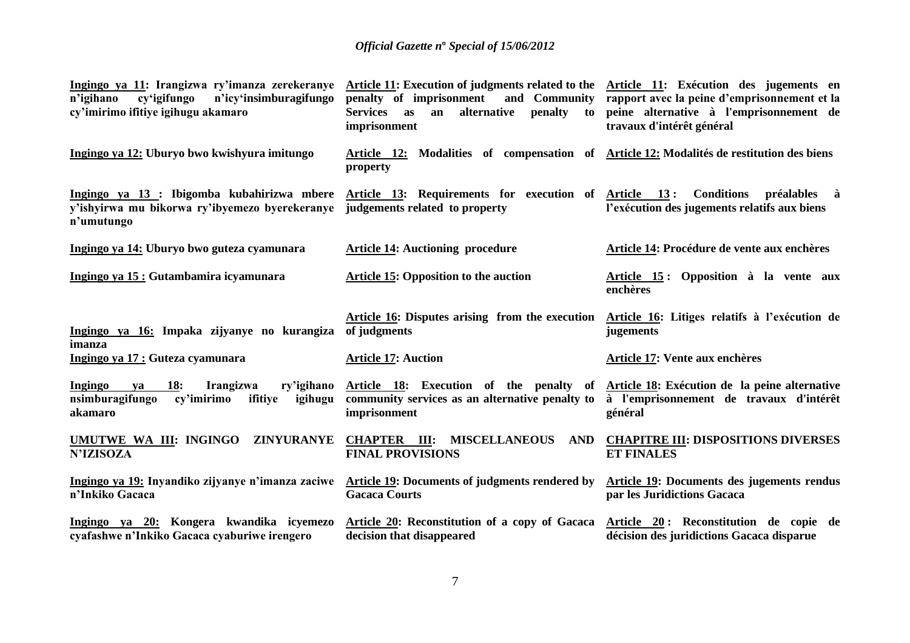| Ingingo ya 11: Irangizwa ry'imanza zerekeranye<br>cy'igifungo<br>n'icy'insimburagifungo<br>n'igihano<br>cy'imirimo ifitiye igihugu akamaro | Article 11: Execution of judgments related to the<br>penalty of imprisonment<br>and Community<br>alternative<br>penalty<br><b>Services</b><br>as<br>an<br>to<br>imprisonment | Article 11: Exécution des jugements en<br>rapport avec la peine d'emprisonnement et la<br>peine alternative à l'emprisonnement de<br>travaux d'intérêt général |
|--------------------------------------------------------------------------------------------------------------------------------------------|------------------------------------------------------------------------------------------------------------------------------------------------------------------------------|----------------------------------------------------------------------------------------------------------------------------------------------------------------|
| Ingingo ya 12: Uburyo bwo kwishyura imitungo                                                                                               | Article 12: Modalities of compensation of Article 12: Modalités de restitution des biens<br>property                                                                         |                                                                                                                                                                |
| Ingingo ya 13 : Ibigomba kubahirizwa mbere<br>y'ishyirwa mu bikorwa ry'ibyemezo byerekeranye<br>n'umutungo                                 | Article 13: Requirements for execution of Article 13:<br>judgements related to property                                                                                      | <b>Conditions</b><br>préalables à<br>l'exécution des jugements relatifs aux biens                                                                              |
| Ingingo ya 14: Uburyo bwo guteza cyamunara                                                                                                 | <b>Article 14: Auctioning procedure</b>                                                                                                                                      | Article 14: Procédure de vente aux enchères                                                                                                                    |
| Ingingo ya 15 : Gutambamira icyamunara                                                                                                     | <b>Article 15: Opposition to the auction</b>                                                                                                                                 | Article 15: Opposition à la vente aux<br>enchères                                                                                                              |
| Ingingo ya 16: Impaka zijyanye no kurangiza<br>imanza                                                                                      | Article 16: Disputes arising from the execution<br>of judgments                                                                                                              | Article 16: Litiges relatifs à l'exécution de<br>jugements                                                                                                     |
| Ingingo ya 17 : Guteza cyamunara                                                                                                           | <b>Article 17: Auction</b>                                                                                                                                                   | Article 17: Vente aux enchères                                                                                                                                 |
| <b>18:</b><br>Ingingo<br>Irangizwa<br>ry'igihano<br>va<br>nsimburagifungo<br>cy'imirimo<br>ifitiye<br>igihugu<br>akamaro                   | Article 18: Execution of the penalty of<br>community services as an alternative penalty to<br>imprisonment                                                                   | Article 18: Exécution de la peine alternative<br>à l'emprisonnement de travaux d'intérêt<br>général                                                            |
| UMUTWE WA III: INGINGO<br><b>ZINYURANYE</b><br><b>N'IZISOZA</b>                                                                            | <b>CHAPTER III:</b><br><b>MISCELLANEOUS</b><br><b>AND</b><br><b>FINAL PROVISIONS</b>                                                                                         | <b>CHAPITRE III: DISPOSITIONS DIVERSES</b><br><b>ET FINALES</b>                                                                                                |
| Ingingo ya 19: Inyandiko zijyanye n'imanza zaciwe<br>n'Inkiko Gacaca                                                                       | Article 19: Documents of judgments rendered by<br><b>Gacaca Courts</b>                                                                                                       | <b>Article 19: Documents des jugements rendus</b><br>par les Juridictions Gacaca                                                                               |
| Ingingo ya 20: Kongera kwandika icyemezo<br>cyafashwe n'Inkiko Gacaca cyaburiwe irengero                                                   | Article 20: Reconstitution of a copy of Gacaca<br>decision that disappeared                                                                                                  | Article 20: Reconstitution de copie de<br>décision des juridictions Gacaca disparue                                                                            |
|                                                                                                                                            |                                                                                                                                                                              |                                                                                                                                                                |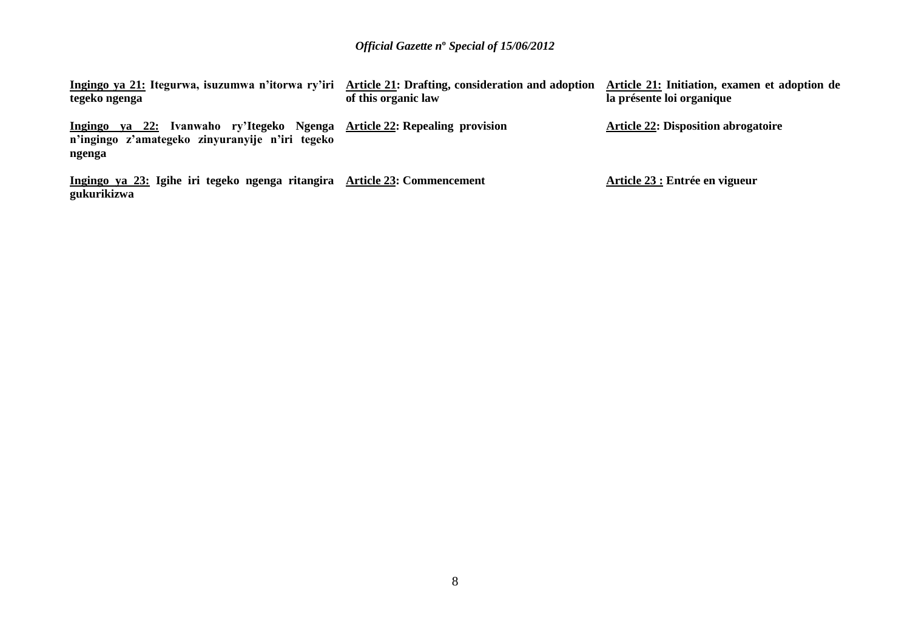| Ingingo ya 21: Itegurwa, isuzumwa n'itorwa ry'iri Article 21: Drafting, consideration and adoption<br>tegeko ngenga                       | of this organic law | Article 21: Initiation, examen et adoption de<br>la présente loi organique |
|-------------------------------------------------------------------------------------------------------------------------------------------|---------------------|----------------------------------------------------------------------------|
| ya 22: Ivanwaho ry'Itegeko Ngenga Article 22: Repealing provision<br>Ingingo<br>n'ingingo z'amategeko zinyuranyije n'iri tegeko<br>ngenga |                     | <b>Article 22: Disposition abrogatoire</b>                                 |
| Ingingo ya 23: Igihe iri tegeko ngenga ritangira Article 23: Commencement<br>gukurikizwa                                                  |                     | Article 23 : Entrée en vigueur                                             |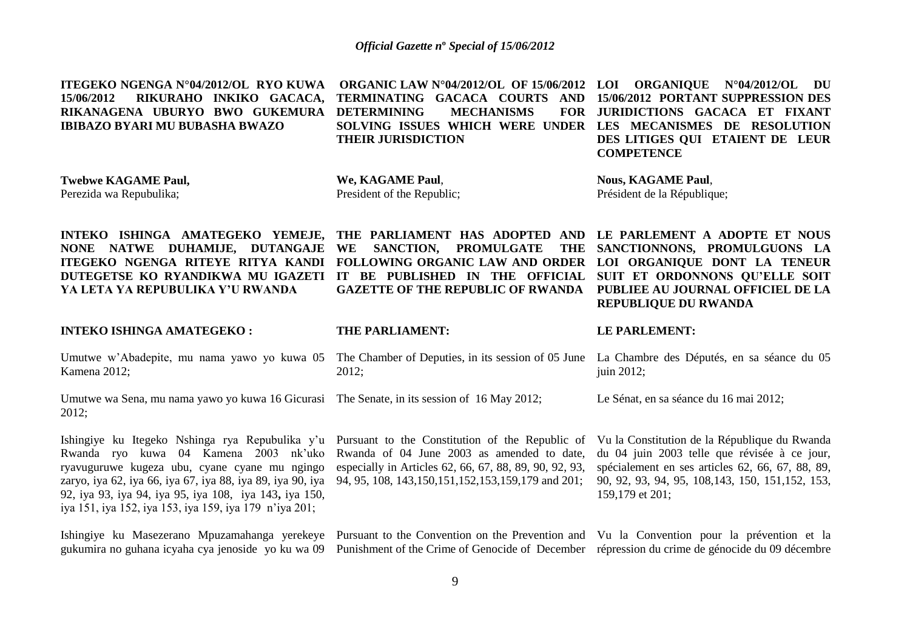| ITEGEKO NGENGA N°04/2012/OL RYO KUWA<br>RIKURAHO INKIKO GACACA,<br>15/06/2012<br>RIKANAGENA UBURYO BWO GUKEMURA<br><b>IBIBAZO BYARI MU BUBASHA BWAZO</b>                                                                                                                                                                    | ORGANIC LAW N°04/2012/OL OF 15/06/2012 LOI ORGANIQUE N°04/2012/OL DU<br>TERMINATING GACACA COURTS<br><b>AND</b><br><b>DETERMINING</b><br><b>MECHANISMS</b><br>SOLVING ISSUES WHICH WERE UNDER<br><b>THEIR JURISDICTION</b> | 15/06/2012 PORTANT SUPPRESSION DES<br>FOR JURIDICTIONS GACACA ET FIXANT<br>LES MECANISMES DE RESOLUTION<br>DES LITIGES QUI ETAIENT DE LEUR<br><b>COMPETENCE</b>                                                           |
|-----------------------------------------------------------------------------------------------------------------------------------------------------------------------------------------------------------------------------------------------------------------------------------------------------------------------------|----------------------------------------------------------------------------------------------------------------------------------------------------------------------------------------------------------------------------|---------------------------------------------------------------------------------------------------------------------------------------------------------------------------------------------------------------------------|
| <b>Twebwe KAGAME Paul,</b><br>Perezida wa Repubulika;                                                                                                                                                                                                                                                                       | We, KAGAME Paul,<br>President of the Republic;                                                                                                                                                                             | <b>Nous, KAGAME Paul,</b><br>Président de la République;                                                                                                                                                                  |
| INTEKO ISHINGA AMATEGEKO YEMEJE,<br>NONE NATWE DUHAMIJE, DUTANGAJE<br>ITEGEKO NGENGA RITEYE RITYA KANDI<br>DUTEGETSE KO RYANDIKWA MU IGAZETI<br>YA LETA YA REPUBULIKA Y'U RWANDA                                                                                                                                            | THE PARLIAMENT HAS ADOPTED AND<br><b>PROMULGATE</b><br>WE<br>SANCTION,<br><b>THE</b><br>FOLLOWING ORGANIC LAW AND ORDER<br>IT BE PUBLISHED IN THE OFFICIAL<br><b>GAZETTE OF THE REPUBLIC OF RWANDA</b>                     | LE PARLEMENT A ADOPTE ET NOUS<br>SANCTIONNONS, PROMULGUONS LA<br>LOI ORGANIQUE DONT LA TENEUR<br>SUIT ET ORDONNONS QU'ELLE SOIT<br>PUBLIEE AU JOURNAL OFFICIEL DE LA<br><b>REPUBLIQUE DU RWANDA</b>                       |
|                                                                                                                                                                                                                                                                                                                             |                                                                                                                                                                                                                            |                                                                                                                                                                                                                           |
| <b>INTEKO ISHINGA AMATEGEKO:</b>                                                                                                                                                                                                                                                                                            | THE PARLIAMENT:                                                                                                                                                                                                            | <b>LE PARLEMENT:</b>                                                                                                                                                                                                      |
| Umutwe w'Abadepite, mu nama yawo yo kuwa 05<br>Kamena 2012;                                                                                                                                                                                                                                                                 | The Chamber of Deputies, in its session of 05 June<br>2012;                                                                                                                                                                | La Chambre des Députés, en sa séance du 05<br>juin 2012;                                                                                                                                                                  |
| Umutwe wa Sena, mu nama yawo yo kuwa 16 Gicurasi<br>2012;                                                                                                                                                                                                                                                                   | The Senate, in its session of 16 May 2012;                                                                                                                                                                                 | Le Sénat, en sa séance du 16 mai 2012;                                                                                                                                                                                    |
| Ishingiye ku Itegeko Nshinga rya Repubulika y'u<br>Rwanda ryo kuwa 04 Kamena 2003 nk'uko<br>ryavuguruwe kugeza ubu, cyane cyane mu ngingo<br>zaryo, iya 62, iya 66, iya 67, iya 88, iya 89, iya 90, iya<br>92, iya 93, iya 94, iya 95, iya 108, iya 143, iya 150,<br>iya 151, iya 152, iya 153, iya 159, iya 179 n'iya 201; | Pursuant to the Constitution of the Republic of<br>Rwanda of 04 June 2003 as amended to date,<br>especially in Articles 62, 66, 67, 88, 89, 90, 92, 93,<br>94, 95, 108, 143, 150, 151, 152, 153, 159, 179 and 201;         | Vu la Constitution de la République du Rwanda<br>du 04 juin 2003 telle que révisée à ce jour,<br>spécialement en ses articles 62, 66, 67, 88, 89,<br>90, 92, 93, 94, 95, 108, 143, 150, 151, 152, 153,<br>159,179 et 201; |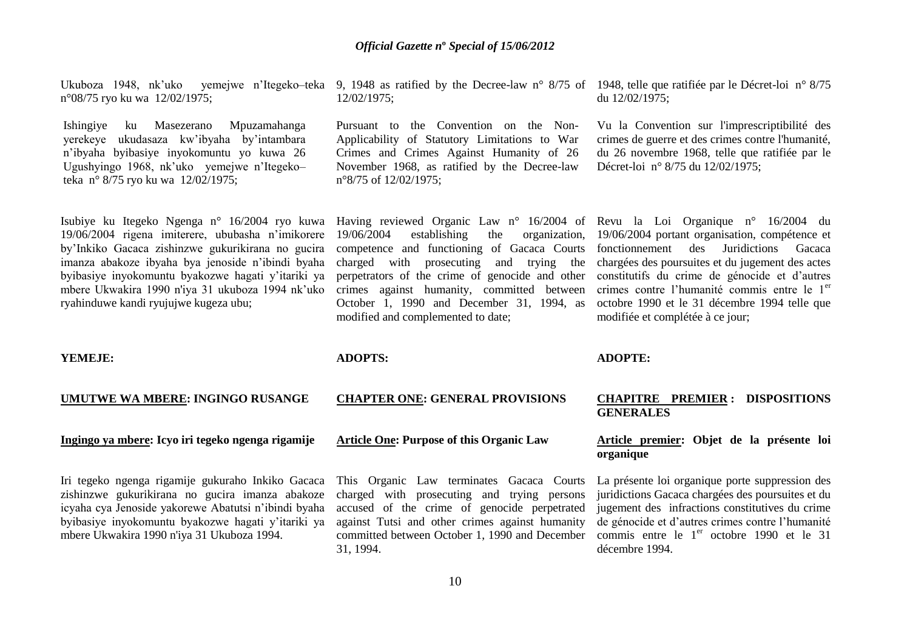Ukuboza 1948, nk'uko yemejwe n'Itegeko–teka 9, 1948 as ratified by the Decree-law n° 8/75 of 1948, telle que ratifiée par le Décret-loi n° 8/75 n°08/75 ryo ku wa 12/02/1975;

Ishingiye ku Masezerano Mpuzamahanga yerekeye ukudasaza kw"ibyaha by"intambara n"ibyaha byibasiye inyokomuntu yo kuwa 26 Ugushyingo 1968, nk"uko yemejwe n"Itegeko– teka n° 8/75 ryo ku wa 12/02/1975;

Isubiye ku Itegeko Ngenga n° 16/2004 ryo kuwa Having reviewed Organic Law n° 16/2004 of Revu la Loi Organique n° 16/2004 du 19/06/2004 rigena imiterere, ububasha n"imikorere by"Inkiko Gacaca zishinzwe gukurikirana no gucira imanza abakoze ibyaha bya jenoside n"ibindi byaha byibasiye inyokomuntu byakozwe hagati y"itariki ya mbere Ukwakira 1990 n'iya 31 ukuboza 1994 nk"uko ryahinduwe kandi ryujujwe kugeza ubu;

12/02/1975;

Pursuant to the Convention on the Non-Applicability of Statutory Limitations to War Crimes and Crimes Against Humanity of 26 November 1968, as ratified by the Decree-law n°8/75 of 12/02/1975;

du 12/02/1975;

Vu la Convention sur l'imprescriptibilité des crimes de guerre et des crimes contre l'humanité, du 26 novembre 1968, telle que ratifiée par le Décret-loi n° 8/75 du 12/02/1975;

19/06/2004 establishing the organization, 19/06/2004 portant organisation, compétence et competence and functioning of Gacaca Courts fonctionnement des Juridictions Gacaca charged with prosecuting and trying the perpetrators of the crime of genocide and other constitutifs du crime de génocide et d"autres crimes against humanity, committed between October 1, 1990 and December 31, 1994, as octobre 1990 et le 31 décembre 1994 telle que modified and complemented to date;

chargées des poursuites et du jugement des actes crimes contre l'humanité commis entre le 1<sup>er</sup> modifiée et complétée à ce jour;

#### **YEMEJE:**

#### **UMUTWE WA MBERE: INGINGO RUSANGE**

#### **Ingingo ya mbere: Icyo iri tegeko ngenga rigamije**

Iri tegeko ngenga rigamije gukuraho Inkiko Gacaca zishinzwe gukurikirana no gucira imanza abakoze icyaha cya Jenoside yakorewe Abatutsi n"ibindi byaha byibasiye inyokomuntu byakozwe hagati y"itariki ya mbere Ukwakira 1990 n'iya 31 Ukuboza 1994.

#### **ADOPTS:**

#### **CHAPTER ONE: GENERAL PROVISIONS**

#### **Article One: Purpose of this Organic Law**

This Organic Law terminates Gacaca Courts charged with prosecuting and trying persons accused of the crime of genocide perpetrated against Tutsi and other crimes against humanity committed between October 1, 1990 and December commis entre le  $1<sup>er</sup>$  octobre 1990 et le 31 31, 1994.

#### **ADOPTE:**

#### **CHAPITRE PREMIER : DISPOSITIONS GENERALES**

# **Article premier: Objet de la présente loi organique**

La présente loi organique porte suppression des juridictions Gacaca chargées des poursuites et du jugement des infractions constitutives du crime de génocide et d"autres crimes contre l"humanité décembre 1994.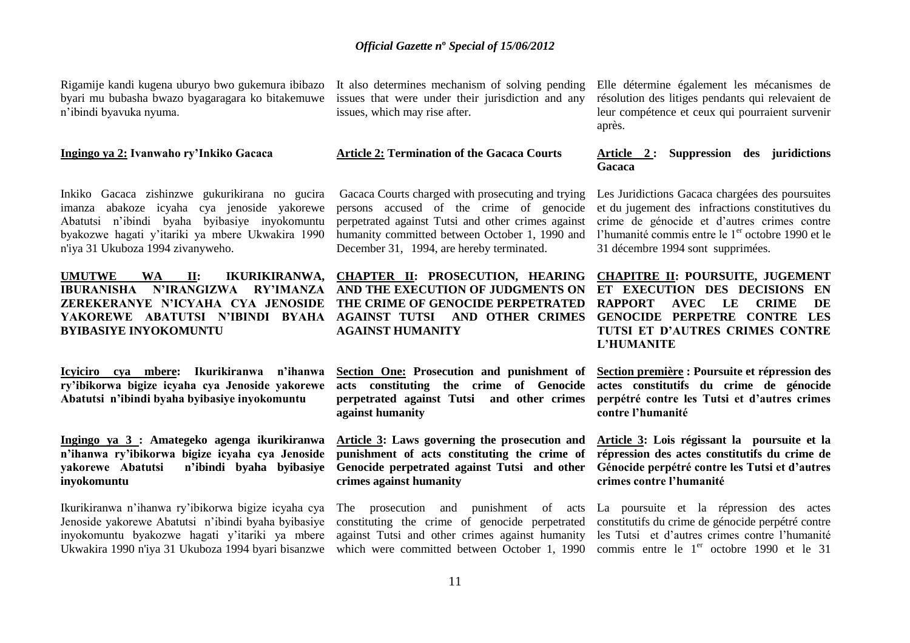Rigamije kandi kugena uburyo bwo gukemura ibibazo byari mu bubasha bwazo byagaragara ko bitakemuwe n"ibindi byavuka nyuma.

#### **Ingingo ya 2: Ivanwaho ry'Inkiko Gacaca**

Inkiko Gacaca zishinzwe gukurikirana no gucira imanza abakoze icyaha cya jenoside yakorewe Abatutsi n"ibindi byaha byibasiye inyokomuntu byakozwe hagati y"itariki ya mbere Ukwakira 1990 n'iya 31 Ukuboza 1994 zivanyweho.

# **UMUTWE WA II: IKURIKIRANWA, CHAPTER II: PROSECUTION, HEARING IBURANISHA N'IRANGIZWA RY'IMANZA AND THE EXECUTION OF JUDGMENTS ON ZEREKERANYE N'ICYAHA CYA JENOSIDE THE CRIME OF GENOCIDE PERPETRATED YAKOREWE ABATUTSI N'IBINDI BYAHA AGAINST TUTSI AND OTHER CRIMES GENOCIDE PERPETRE CONTRE LES BYIBASIYE INYOKOMUNTU**

**Icyiciro cya mbere: Ikurikiranwa n'ihanwa ry'ibikorwa bigize icyaha cya Jenoside yakorewe Abatutsi n'ibindi byaha byibasiye inyokomuntu**

# **Ingingo ya 3 : Amategeko agenga ikurikiranwa n'ihanwa ry'ibikorwa bigize icyaha cya Jenoside yakorewe Abatutsi n'ibindi byaha byibasiye inyokomuntu**

Ikurikiranwa n"ihanwa ry"ibikorwa bigize icyaha cya Jenoside yakorewe Abatutsi n"ibindi byaha byibasiye inyokomuntu byakozwe hagati y"itariki ya mbere Ukwakira 1990 n'iya 31 Ukuboza 1994 byari bisanzwe which were committed between October 1, 1990 commis entre le 1<sup>er</sup> octobre 1990 et le 31

It also determines mechanism of solving pending issues that were under their jurisdiction and any issues, which may rise after.

#### **Article 2: Termination of the Gacaca Courts**

Gacaca Courts charged with prosecuting and trying persons accused of the crime of genocide perpetrated against Tutsi and other crimes against crime de génocide et d"autres crimes contre humanity committed between October 1, 1990 and l'humanité commis entre le 1<sup>er</sup> octobre 1990 et le December 31, 1994, are hereby terminated.

# **AGAINST HUMANITY**

**Section One: Prosecution and punishment of acts constituting the crime of Genocide actes constitutifs du crime de génocide perpetrated against Tutsi and other crimes against humanity**

**Article 3: Laws governing the prosecution and punishment of acts constituting the crime of Genocide perpetrated against Tutsi and other crimes against humanity** 

The prosecution and constituting the crime of genocide perpetrated against Tutsi and other crimes against humanity les Tutsi et d"autres crimes contre l"humanité

Elle détermine également les mécanismes de résolution des litiges pendants qui relevaient de leur compétence et ceux qui pourraient survenir après.

# **Article 2 : Suppression des juridictions Gacaca**

Les Juridictions Gacaca chargées des poursuites et du jugement des infractions constitutives du 31 décembre 1994 sont supprimées.

**CHAPITRE II: POURSUITE, JUGEMENT ET EXECUTION DES DECISIONS EN RAPPORT AVEC LE CRIME DE TUTSI ET D'AUTRES CRIMES CONTRE L'HUMANITE**

**Section première : Poursuite et répression des perpétré contre les Tutsi et d'autres crimes contre l'humanité**

**Article 3: Lois régissant la poursuite et la répression des actes constitutifs du crime de Génocide perpétré contre les Tutsi et d'autres crimes contre l'humanité** 

La poursuite et la répression des actes constitutifs du crime de génocide perpétré contre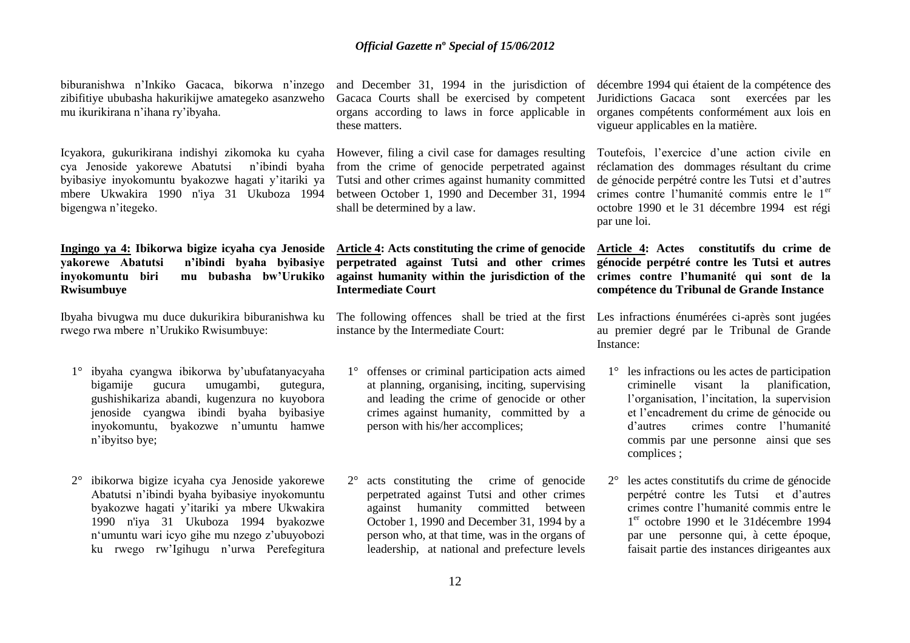biburanishwa n"Inkiko Gacaca, bikorwa n"inzego zibifitiye ububasha hakurikijwe amategeko asanzweho mu ikurikirana n"ihana ry"ibyaha.

Icyakora, gukurikirana indishyi zikomoka ku cyaha However, filing a civil case for damages resulting cya Jenoside yakorewe Abatutsi n"ibindi byaha from the crime of genocide perpetrated against byibasiye inyokomuntu byakozwe hagati y"itariki ya Tutsi and other crimes against humanity committed mbere Ukwakira 1990 n'iya 31 Ukuboza 1994 between October 1, 1990 and December 31, 1994 bigengwa n"itegeko.

# Ingingo ya 4: Ibikorwa bigize icyaha cya Jenoside Article 4: Acts constituting the crime of genocide Article 4: Actes constitutifs du crime de **yakorewe Abatutsi n'ibindi byaha byibasiye perpetrated against Tutsi and other crimes inyokomuntu biri mu bubasha bw'Urukiko Rwisumbuye**

Ibyaha bivugwa mu duce dukurikira biburanishwa ku rwego rwa mbere n"Urukiko Rwisumbuye:

- 1° ibyaha cyangwa ibikorwa by"ubufatanyacyaha bigamije gucura umugambi, gutegura, gushishikariza abandi, kugenzura no kuyobora jenoside cyangwa ibindi byaha byibasiye inyokomuntu, byakozwe n"umuntu hamwe n"ibyitso bye;
- 2° ibikorwa bigize icyaha cya Jenoside yakorewe Abatutsi n"ibindi byaha byibasiye inyokomuntu byakozwe hagati y"itariki ya mbere Ukwakira 1990 n'iya 31 Ukuboza 1994 byakozwe n"umuntu wari icyo gihe mu nzego z"ubuyobozi ku rwego rw"Igihugu n"urwa Perefegitura

and December 31, 1994 in the jurisdiction of Gacaca Courts shall be exercised by competent organs according to laws in force applicable in these matters.

shall be determined by a law.

**against humanity within the jurisdiction of the Intermediate Court**

The following offences shall be tried at the first Les infractions énumérées ci-après sont jugées instance by the Intermediate Court:

- 1° offenses or criminal participation acts aimed at planning, organising, inciting, supervising and leading the crime of genocide or other crimes against humanity, committed by a person with his/her accomplices;
- 2° acts constituting the crime of genocide perpetrated against Tutsi and other crimes against humanity committed between October 1, 1990 and December 31, 1994 by a person who, at that time, was in the organs of leadership, at national and prefecture levels

décembre 1994 qui étaient de la compétence des Juridictions Gacaca sont exercées par les organes compétents conformément aux lois en vigueur applicables en la matière.

Toutefois, l"exercice d"une action civile en réclamation des dommages résultant du crime de génocide perpétré contre les Tutsi et d"autres crimes contre l'humanité commis entre le 1<sup>er</sup> octobre 1990 et le 31 décembre 1994 est régi par une loi.

# **génocide perpétré contre les Tutsi et autres crimes contre l'humanité qui sont de la compétence du Tribunal de Grande Instance**

au premier degré par le Tribunal de Grande Instance:

- 1° les infractions ou les actes de participation criminelle visant la planification, l'organisation, l'incitation, la supervision et l"encadrement du crime de génocide ou d"autres crimes contre l"humanité commis par une personne ainsi que ses complices ;
- 2° les actes constitutifs du crime de génocide perpétré contre les Tutsi et d"autres crimes contre l"humanité commis entre le 1 er octobre 1990 et le 31décembre 1994 par une personne qui, à cette époque, faisait partie des instances dirigeantes aux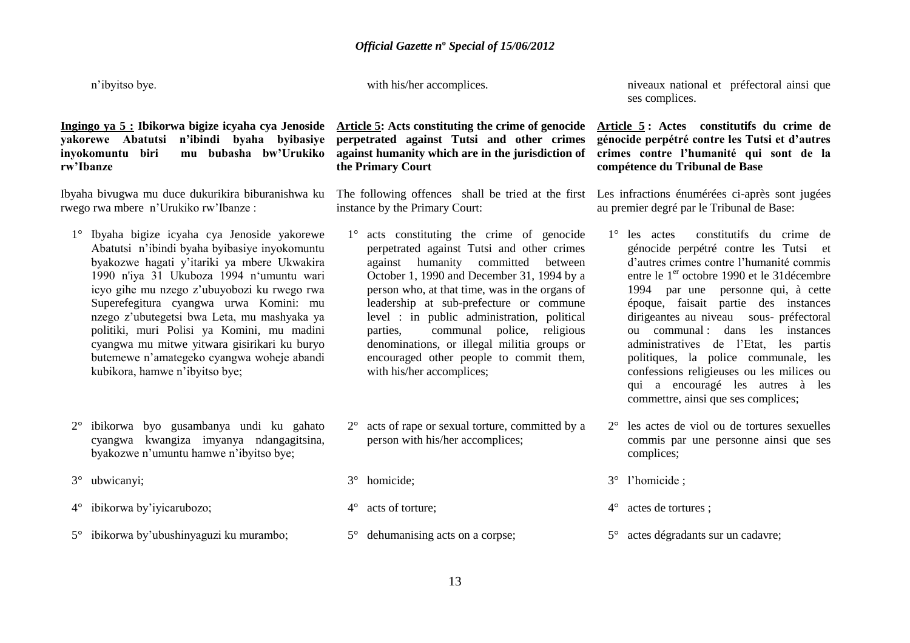n"ibyitso bye.

with his/her accomplices.

# **yakorewe Abatutsi n'ibindi byaha byibasiye inyokomuntu biri mu bubasha bw'Urukiko rw'Ibanze**

Ibyaha bivugwa mu duce dukurikira biburanishwa ku rwego rwa mbere n"Urukiko rw"Ibanze :

- 1° Ibyaha bigize icyaha cya Jenoside yakorewe Abatutsi n"ibindi byaha byibasiye inyokomuntu byakozwe hagati y"itariki ya mbere Ukwakira 1990 n'iya 31 Ukuboza 1994 n"umuntu wari icyo gihe mu nzego z"ubuyobozi ku rwego rwa Superefegitura cyangwa urwa Komini: mu nzego z"ubutegetsi bwa Leta, mu mashyaka ya politiki, muri Polisi ya Komini, mu madini cyangwa mu mitwe yitwara gisirikari ku buryo butemewe n"amategeko cyangwa woheje abandi kubikora, hamwe n"ibyitso bye;
- 2° ibikorwa byo gusambanya undi ku gahato cyangwa kwangiza imyanya ndangagitsina, byakozwe n"umuntu hamwe n"ibyitso bye;
- 3° ubwicanyi;
- 4° ibikorwa by"iyicarubozo;
- 5° ibikorwa by"ubushinyaguzi ku murambo;

**Ingingo ya 5 : Ibikorwa bigize icyaha cya Jenoside Article 5: Acts constituting the crime of genocide Article 5 : Actes constitutifs du crime de perpetrated against Tutsi and other crimes against humanity which are in the jurisdiction of crimes contre l'humanité qui sont de la the Primary Court**

> The following offences shall be tried at the first Les infractions énumérées ci-après sont jugées instance by the Primary Court:

- 1° acts constituting the crime of genocide perpetrated against Tutsi and other crimes against humanity committed between October 1, 1990 and December 31, 1994 by a person who, at that time, was in the organs of leadership at sub-prefecture or commune level : in public administration, political parties, communal police, religious denominations, or illegal militia groups or encouraged other people to commit them, with his/her accomplices;
- 2° acts of rape or sexual torture, committed by a person with his/her accomplices;
- 3° homicide;
- 4° acts of torture;
- 5° dehumanising acts on a corpse;

niveaux national et préfectoral ainsi que ses complices.

# **génocide perpétré contre les Tutsi et d'autres compétence du Tribunal de Base**

au premier degré par le Tribunal de Base:

- 1° les actes constitutifs du crime de génocide perpétré contre les Tutsi et d"autres crimes contre l"humanité commis entre le 1<sup>er</sup> octobre 1990 et le 31 décembre 1994 par une personne qui, à cette époque, faisait partie des instances dirigeantes au niveau sous- préfectoral ou communal : dans les instances administratives de l"Etat, les partis politiques, la police communale, les confessions religieuses ou les milices ou qui a encouragé les autres à les commettre, ainsi que ses complices;
- 2° les actes de viol ou de tortures sexuelles commis par une personne ainsi que ses complices;
- 3° l"homicide ;
- 4° actes de tortures ;
- 5° actes dégradants sur un cadavre;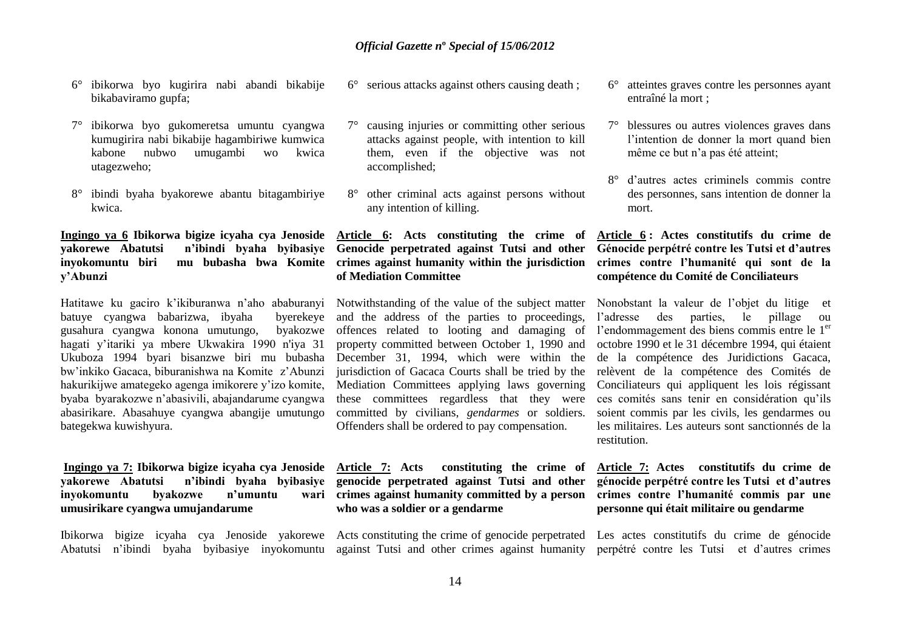- 6° ibikorwa byo kugirira nabi abandi bikabije bikabaviramo gupfa;
- 7° ibikorwa byo gukomeretsa umuntu cyangwa kumugirira nabi bikabije hagambiriwe kumwica kabone nubwo umugambi wo kwica utagezweho;
- 8° ibindi byaha byakorewe abantu bitagambiriye kwica.

# **Ingingo ya 6 Ibikorwa bigize icyaha cya Jenoside Article 6: Acts constituting the crime of yakorewe Abatutsi n'ibindi byaha byibasiye Genocide perpetrated against Tutsi and other inyokomuntu biri mu bubasha bwa Komite crimes against humanity within the jurisdiction y'Abunzi**

batuye cyangwa babarizwa, ibyaha byerekeye gusahura cyangwa konona umutungo, hagati y"itariki ya mbere Ukwakira 1990 n'iya 31 Ukuboza 1994 byari bisanzwe biri mu bubasha December 31, 1994, which were within the bw"inkiko Gacaca, biburanishwa na Komite z"Abunzi hakurikijwe amategeko agenga imikorere y"izo komite, byaba byarakozwe n"abasivili, abajandarume cyangwa abasirikare. Abasahuye cyangwa abangije umutungo bategekwa kuwishyura.

# **Ingingo ya 7: Ibikorwa bigize icyaha cya Jenoside yakorewe Abatutsi n'ibindi byaha byibasiye genocide perpetrated against Tutsi and other inyokomuntu byakozwe n'umuntu umusirikare cyangwa umujandarume**

Ibikorwa bigize icyaha cya Jenoside yakorewe Acts constituting the crime of genocide perpetrated Les actes constitutifs du crime de génocide Abatutsi n'ibindi byaha byibasiye inyokomuntu against Tutsi and other crimes against humanity perpétré contre les Tutsi et d'autres crimes

- 6° serious attacks against others causing death ;
- 7° causing injuries or committing other serious attacks against people, with intention to kill them, even if the objective was not accomplished;
- 8° other criminal acts against persons without any intention of killing.

# **of Mediation Committee**

Hatitawe ku gaciro k'ikiburanwa n'aho ababuranyi Notwithstanding of the value of the subject matter and the address of the parties to proceedings, by a ko are offences related to looting and damaging of property committed between October 1, 1990 and jurisdiction of Gacaca Courts shall be tried by the Mediation Committees applying laws governing these committees regardless that they were committed by civilians, *gendarmes* or soldiers. Offenders shall be ordered to pay compensation.

> **Article 7: Acts constituting the crime of crimes against humanity committed by a person who was a soldier or a gendarme**

- 6° atteintes graves contre les personnes ayant entraîné la mort ;
- 7° blessures ou autres violences graves dans l'intention de donner la mort quand bien même ce but n"a pas été atteint;
- 8° d"autres actes criminels commis contre des personnes, sans intention de donner la mort.

# **Article 6 : Actes constitutifs du crime de Génocide perpétré contre les Tutsi et d'autres crimes contre l'humanité qui sont de la compétence du Comité de Conciliateurs**

Nonobstant la valeur de l"objet du litige et l"adresse des parties, le pillage ou l'endommagement des biens commis entre le 1<sup>er</sup> octobre 1990 et le 31 décembre 1994, qui étaient de la compétence des Juridictions Gacaca, relèvent de la compétence des Comités de Conciliateurs qui appliquent les lois régissant ces comités sans tenir en considération qu"ils soient commis par les civils, les gendarmes ou les militaires. Les auteurs sont sanctionnés de la restitution.

# **Article 7: Actes constitutifs du crime de génocide perpétré contre les Tutsi et d'autres crimes contre l'humanité commis par une personne qui était militaire ou gendarme**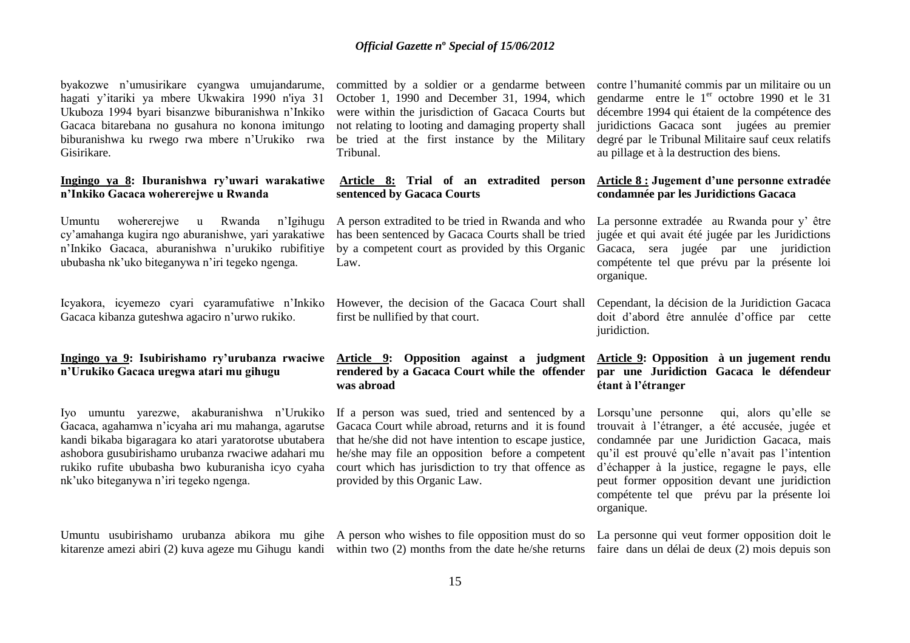byakozwe n"umusirikare cyangwa umujandarume, hagati y"itariki ya mbere Ukwakira 1990 n'iya 31 Ukuboza 1994 byari bisanzwe biburanishwa n"Inkiko Gacaca bitarebana no gusahura no konona imitungo biburanishwa ku rwego rwa mbere n"Urukiko rwa Gisirikare.

#### **Ingingo ya 8: Iburanishwa ry'uwari warakatiwe n'Inkiko Gacaca wohererejwe u Rwanda**

Umuntu wohererejwe u Rwanda cy"amahanga kugira ngo aburanishwe, yari yarakatiwe n'Inkiko Gacaca, aburanishwa n'urukiko rubifitiye by a competent court as provided by this Organic ububasha nk"uko biteganywa n"iri tegeko ngenga.

Icyakora, icyemezo cyari cyaramufatiwe n"Inkiko Gacaca kibanza guteshwa agaciro n"urwo rukiko.

# **Ingingo ya 9: Isubirishamo ry'urubanza rwaciwe Article 9: Opposition against a judgment Article 9: Opposition à un jugement rendu n'Urukiko Gacaca uregwa atari mu gihugu**

Iyo umuntu yarezwe, akaburanishwa n"Urukiko Gacaca, agahamwa n"icyaha ari mu mahanga, agarutse kandi bikaba bigaragara ko atari yaratorotse ubutabera ashobora gusubirishamo urubanza rwaciwe adahari mu rukiko rufite ububasha bwo kuburanisha icyo cyaha nk"uko biteganywa n"iri tegeko ngenga.

Umuntu usubirishamo urubanza abikora mu gihe A person who wishes to file opposition must do so La personne qui veut former opposition doit le

October 1, 1990 and December 31, 1994, which were within the jurisdiction of Gacaca Courts but not relating to looting and damaging property shall be tried at the first instance by the Military Tribunal.

# **Article 8: Trial of an extradited person sentenced by Gacaca Courts**

A person extradited to be tried in Rwanda and who has been sentenced by Gacaca Courts shall be tried Law.

> However, the decision of the Gacaca Court shall first be nullified by that court.

# **rendered by a Gacaca Court while the offender par une Juridiction Gacaca le défendeur was abroad**

If a person was sued, tried and sentenced by a Gacaca Court while abroad, returns and it is found that he/she did not have intention to escape justice, he/she may file an opposition before a competent court which has jurisdiction to try that offence as provided by this Organic Law.

kitarenze amezi abiri (2) kuva ageze mu Gihugu kandi within two (2) months from the date he/she returns faire dans un délai de deux (2) mois depuis son

committed by a soldier or a gendarme between contre l"humanité commis par un militaire ou un gendarme entre le  $1<sup>er</sup>$  octobre 1990 et le 31 décembre 1994 qui étaient de la compétence des juridictions Gacaca sont jugées au premier degré par le Tribunal Militaire sauf ceux relatifs au pillage et à la destruction des biens.

#### **Article 8 : Jugement d'une personne extradée condamnée par les Juridictions Gacaca**

La personne extradée au Rwanda pour y' être jugée et qui avait été jugée par les Juridictions Gacaca, sera jugée par une juridiction compétente tel que prévu par la présente loi organique.

Cependant, la décision de la Juridiction Gacaca doit d"abord être annulée d"office par cette juridiction.

# **étant à l'étranger**

Lorsqu'une personne qui, alors qu'elle se trouvait à l"étranger, a été accusée, jugée et condamnée par une Juridiction Gacaca, mais qu"il est prouvé qu"elle n"avait pas l"intention d"échapper à la justice, regagne le pays, elle peut former opposition devant une juridiction compétente tel que prévu par la présente loi organique.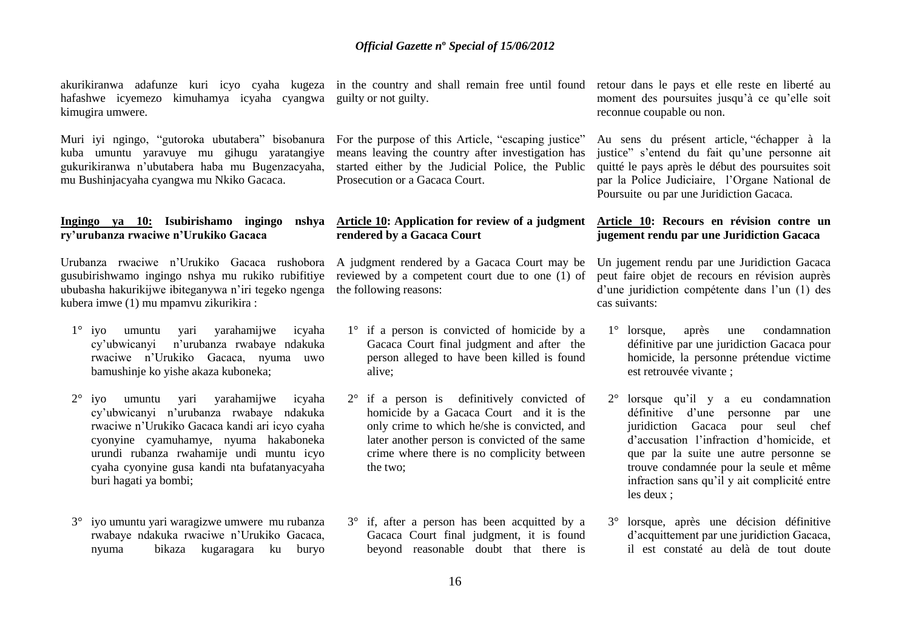akurikiranwa adafunze kuri icyo cyaha kugeza in the country and shall remain free until found retour dans le pays et elle reste en liberté au hafashwe icyemezo kimuhamya icyaha cyangwa guilty or not guilty. kimugira umwere.

Muri iyi ngingo, "gutoroka ubutabera" bisobanura For the purpose of this Article, "escaping justice" kuba umuntu yaravuye mu gihugu yaratangiye gukurikiranwa n"ubutabera haba mu Bugenzacyaha, mu Bushinjacyaha cyangwa mu Nkiko Gacaca.

#### **Ingingo ya 10: Isubirishamo ingingo nshya Article 10: Application for review of a judgment Article 10: Recours en révision contre un ry'urubanza rwaciwe n'Urukiko Gacaca**

Urubanza rwaciwe n'Urukiko Gacaca rushobora A judgment rendered by a Gacaca Court may be Un jugement rendu par une Juridiction Gacaca gusubirishwamo ingingo nshya mu rukiko rubifitiye reviewed by a competent court due to one (1) of ububasha hakurikijwe ibiteganywa n"iri tegeko ngenga the following reasons: kubera imwe (1) mu mpamvu zikurikira :

- 1° iyo umuntu yari yarahamijwe icyaha cy"ubwicanyi n"urubanza rwabaye ndakuka rwaciwe n"Urukiko Gacaca, nyuma uwo bamushinje ko yishe akaza kuboneka;
- 2° iyo umuntu yari yarahamijwe icyaha cy"ubwicanyi n"urubanza rwabaye ndakuka rwaciwe n"Urukiko Gacaca kandi ari icyo cyaha cyonyine cyamuhamye, nyuma hakaboneka urundi rubanza rwahamije undi muntu icyo cyaha cyonyine gusa kandi nta bufatanyacyaha buri hagati ya bombi;
- 3° iyo umuntu yari waragizwe umwere mu rubanza rwabaye ndakuka rwaciwe n"Urukiko Gacaca, nyuma bikaza kugaragara ku buryo

means leaving the country after investigation has started either by the Judicial Police, the Public Prosecution or a Gacaca Court.

# **rendered by a Gacaca Court**

- 1° if a person is convicted of homicide by a Gacaca Court final judgment and after the person alleged to have been killed is found alive;
- 2° if a person is definitively convicted of homicide by a Gacaca Court and it is the only crime to which he/she is convicted, and later another person is convicted of the same crime where there is no complicity between the two;
- 3° if, after a person has been acquitted by a Gacaca Court final judgment, it is found beyond reasonable doubt that there is

moment des poursuites jusqu"à ce qu"elle soit reconnue coupable ou non.

Au sens du présent article, "échapper à la justice" s'entend du fait qu'une personne ait quitté le pays après le début des poursuites soit par la Police Judiciaire, l"Organe National de Poursuite ou par une Juridiction Gacaca.

# **jugement rendu par une Juridiction Gacaca**

peut faire objet de recours en révision auprès d"une juridiction compétente dans l"un (1) des cas suivants:

- 1° lorsque, après une condamnation définitive par une juridiction Gacaca pour homicide, la personne prétendue victime est retrouvée vivante ;
- 2° lorsque qu"il y a eu condamnation définitive d'une personne par une juridiction Gacaca pour seul chef d"accusation l"infraction d"homicide, et que par la suite une autre personne se trouve condamnée pour la seule et même infraction sans qu"il y ait complicité entre les deux ;
- 3° lorsque, après une décision définitive d"acquittement par une juridiction Gacaca, il est constaté au delà de tout doute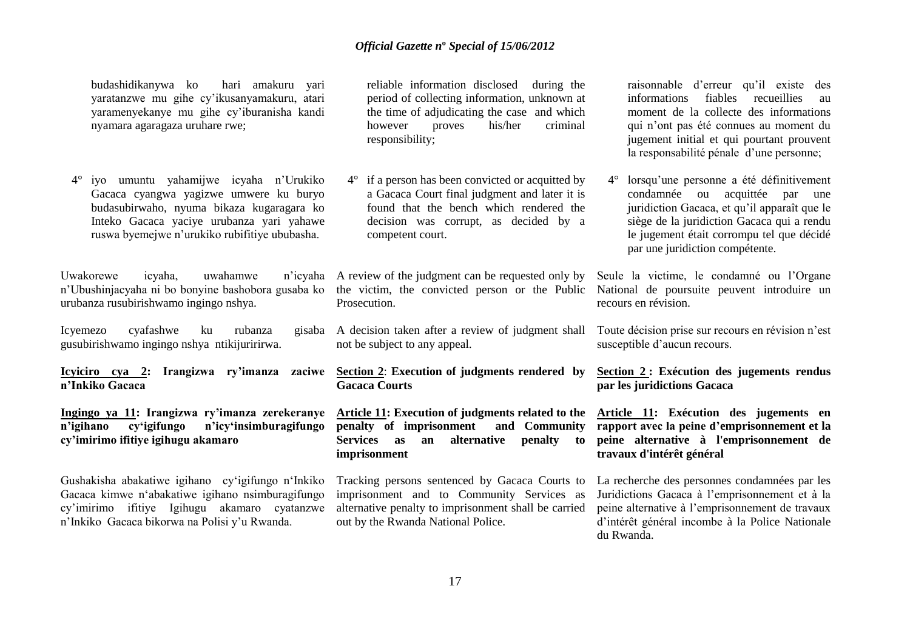budashidikanywa ko hari amakuru yari yaratanzwe mu gihe cy"ikusanyamakuru, atari yaramenyekanye mu gihe cy"iburanisha kandi nyamara agaragaza uruhare rwe;

4° iyo umuntu yahamijwe icyaha n"Urukiko Gacaca cyangwa yagizwe umwere ku buryo budasubirwaho, nyuma bikaza kugaragara ko Inteko Gacaca yaciye urubanza yari yahawe ruswa byemejwe n"urukiko rubifitiye ububasha.

Uwakorewe icyaha, uwahamwe n"Ubushinjacyaha ni bo bonyine bashobora gusaba ko the victim, the convicted person or the Public urubanza rusubirishwamo ingingo nshya.

Icyemezo cyafashwe ku rubanza gusubirishwamo ingingo nshya ntikijuririrwa.

**Icyiciro cya 2: Irangizwa ry'imanza zaciwe Section 2**: **Execution of judgments rendered by Section 2 : Exécution des jugements rendus n'Inkiko Gacaca**

**Ingingo ya 11: Irangizwa ry'imanza zerekeranye n'igihano cy'igifungo n'icy'insimburagifungo cy'imirimo ifitiye igihugu akamaro** 

Gushakisha abakatiwe igihano cy"igifungo n"Inkiko Gacaca kimwe n"abakatiwe igihano nsimburagifungo cy"imirimo ifitiye Igihugu akamaro cyatanzwe n"Inkiko Gacaca bikorwa na Polisi y"u Rwanda.

reliable information disclosed during the period of collecting information, unknown at the time of adjudicating the case and which however proves his/her criminal responsibility;

4° if a person has been convicted or acquitted by a Gacaca Court final judgment and later it is found that the bench which rendered the decision was corrupt, as decided by a competent court.

A review of the judgment can be requested only by Prosecution.

A decision taken after a review of judgment shall not be subject to any appeal.

**Gacaca Courts**

**Article 11: Execution of judgments related to the penalty of imprisonment and Community Services as an alternative penalty to imprisonment** 

Tracking persons sentenced by Gacaca Courts to imprisonment and to Community Services as alternative penalty to imprisonment shall be carried out by the Rwanda National Police.

raisonnable d"erreur qu"il existe des informations fiables recueillies au moment de la collecte des informations qui n"ont pas été connues au moment du jugement initial et qui pourtant prouvent la responsabilité pénale d"une personne;

4° lorsqu"une personne a été définitivement condamnée ou acquittée par une juridiction Gacaca, et qu'il apparaît que le siège de la juridiction Gacaca qui a rendu le jugement était corrompu tel que décidé par une juridiction compétente.

Seule la victime, le condamné ou l"Organe National de poursuite peuvent introduire un recours en révision.

Toute décision prise sur recours en révision n'est susceptible d'aucun recours.

**par les juridictions Gacaca**

**Article 11: Exécution des jugements en rapport avec la peine d'emprisonnement et la peine alternative à l'emprisonnement de travaux d'intérêt général** 

La recherche des personnes condamnées par les Juridictions Gacaca à l"emprisonnement et à la peine alternative à l"emprisonnement de travaux d"intérêt général incombe à la Police Nationale du Rwanda.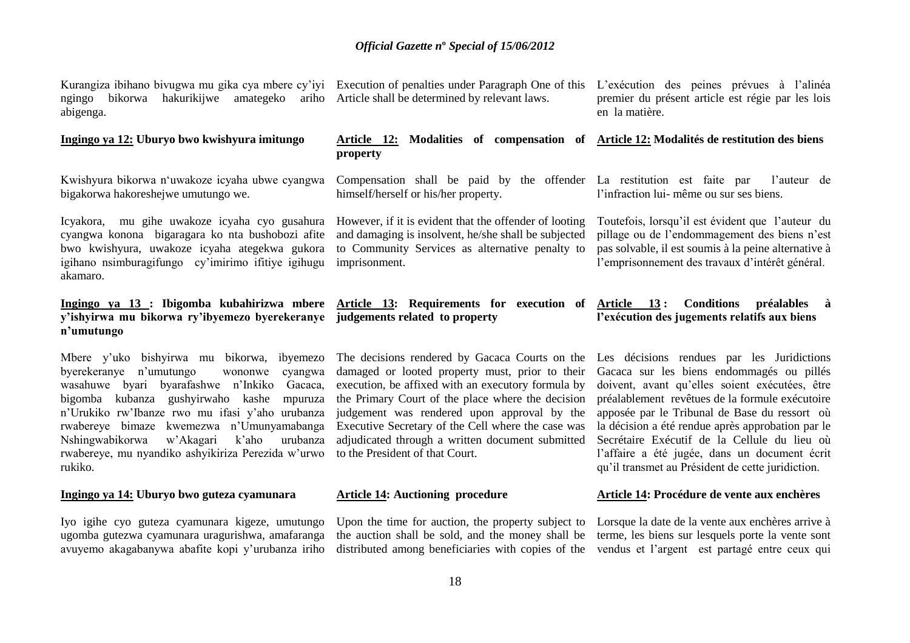Kurangiza ibihano bivugwa mu gika cya mbere cy'iyi Execution of penalties under Paragraph One of this L'exécution des peines prévues à l'alinéa ngingo bikorwa hakurikijwe amategeko ariho Article shall be determined by relevant laws. abigenga.

#### **Ingingo ya 12: Uburyo bwo kwishyura imitungo**

Kwishyura bikorwa n"uwakoze icyaha ubwe cyangwa bigakorwa hakoreshejwe umutungo we.

Icyakora, mu gihe uwakoze icyaha cyo gusahura However, if it is evident that the offender of looting cyangwa konona bigaragara ko nta bushobozi afite bwo kwishyura, uwakoze icyaha ategekwa gukora igihano nsimburagifungo cy"imirimo ifitiye igihugu akamaro.

# **y'ishyirwa mu bikorwa ry'ibyemezo byerekeranye judgements related to property n'umutungo**

Mbere y'uko bishyirwa mu bikorwa, ibyemezo The decisions rendered by Gacaca Courts on the Les décisions rendues par les Juridictions byerekeranye n"umutungo wononwe cyangwa wasahuwe byari byarafashwe n"Inkiko Gacaca, bigomba kubanza gushyirwaho kashe mpuruza n"Urukiko rw"Ibanze rwo mu ifasi y"aho urubanza rwabereye bimaze kwemezwa n"Umunyamabanga Nshingwabikorwa w"Akagari k"aho urubanza rwabereye, mu nyandiko ashyikiriza Perezida w"urwo rukiko.

# **Ingingo ya 14: Uburyo bwo guteza cyamunara**

Iyo igihe cyo guteza cyamunara kigeze, umutungo ugomba gutezwa cyamunara uragurishwa, amafaranga avuyemo akagabanywa abafite kopi y"urubanza iriho

#### **Article 12: Modalities of compensation of Article 12: Modalités de restitution des biens property**

himself/herself or his/her property.

and damaging is insolvent, he/she shall be subjected to Community Services as alternative penalty to imprisonment.

# **Ingingo ya 13 : Ibigomba kubahirizwa mbere Article 13: Requirements for execution of Article 13 : Conditions préalables à**

damaged or looted property must, prior to their execution, be affixed with an executory formula by the Primary Court of the place where the decision judgement was rendered upon approval by the Executive Secretary of the Cell where the case was adjudicated through a written document submitted to the President of that Court.

# **Article 14: Auctioning procedure**

the auction shall be sold, and the money shall be terme, les biens sur lesquels porte la vente sont distributed among beneficiaries with copies of the vendus et l"argent est partagé entre ceux qui

premier du présent article est régie par les lois en la matière.

Compensation shall be paid by the offender La restitution est faite par l"auteur de l"infraction lui- même ou sur ses biens.

> Toutefois, lorsqu"il est évident que l"auteur du pillage ou de l"endommagement des biens n"est pas solvable, il est soumis à la peine alternative à l"emprisonnement des travaux d"intérêt général.

# **l'exécution des jugements relatifs aux biens**

Gacaca sur les biens endommagés ou pillés doivent, avant qu"elles soient exécutées, être préalablement revêtues de la formule exécutoire apposée par le Tribunal de Base du ressort où la décision a été rendue après approbation par le Secrétaire Exécutif de la Cellule du lieu où l"affaire a été jugée, dans un document écrit qu"il transmet au Président de cette juridiction.

#### **Article 14: Procédure de vente aux enchères**

Upon the time for auction, the property subject to Lorsque la date de la vente aux enchères arrive à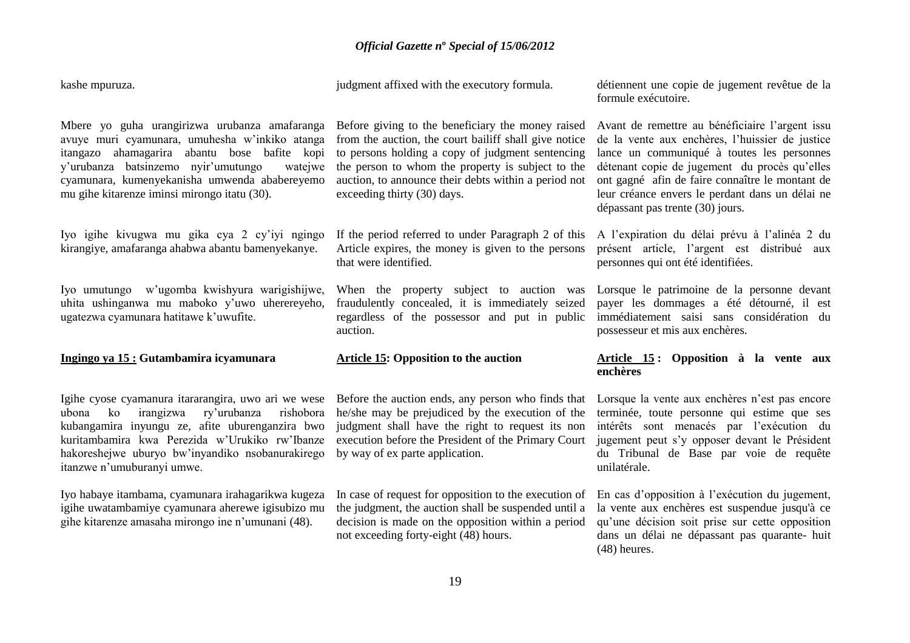kashe mpuruza.

judgment affixed with the executory formula.

détiennent une copie de jugement revêtue de la formule exécutoire.

Mbere yo guha urangirizwa urubanza amafaranga Before giving to the beneficiary the money raised avuye muri cyamunara, umuhesha w"inkiko atanga itangazo ahamagarira abantu bose bafite kopi y'urubanza batsinzemo nyir'umutungo cyamunara, kumenyekanisha umwenda ababereyemo mu gihe kitarenze iminsi mirongo itatu (30).

Iyo igihe kivugwa mu gika cya 2 cy"iyi ngingo kirangiye, amafaranga ahabwa abantu bamenyekanye.

Iyo umutungo w"ugomba kwishyura warigishijwe, uhita ushinganwa mu maboko y"uwo uherereyeho, ugatezwa cyamunara hatitawe k'uwufite.

#### **Ingingo ya 15 : Gutambamira icyamunara**

Igihe cyose cyamanura itararangira, uwo ari we wese ubona ko irangizwa ry"urubanza rishobora kubangamira inyungu ze, afite uburenganzira bwo kuritambamira kwa Perezida w"Urukiko rw"Ibanze hakoreshejwe uburyo bw"inyandiko nsobanurakirego itanzwe n"umuburanyi umwe.

Iyo habaye itambama, cyamunara irahagarikwa kugeza igihe uwatambamiye cyamunara aherewe igisubizo mu gihe kitarenze amasaha mirongo ine n"umunani (48).

from the auction, the court bailiff shall give notice to persons holding a copy of judgment sentencing wate the person to whom the property is subject to the auction, to announce their debts within a period not exceeding thirty (30) days.

> If the period referred to under Paragraph 2 of this Article expires, the money is given to the persons that were identified.

> When the property subject to auction was fraudulently concealed, it is immediately seized regardless of the possessor and put in public auction.

# **Article 15: Opposition to the auction**

Before the auction ends, any person who finds that he/she may be prejudiced by the execution of the judgment shall have the right to request its non execution before the President of the Primary Court by way of ex parte application.

In case of request for opposition to the execution of the judgment, the auction shall be suspended until a decision is made on the opposition within a period not exceeding forty-eight (48) hours.

Avant de remettre au bénéficiaire l"argent issu de la vente aux enchères, l"huissier de justice lance un communiqué à toutes les personnes détenant copie de jugement du procès qu"elles ont gagné afin de faire connaître le montant de leur créance envers le perdant dans un délai ne dépassant pas trente (30) jours.

A l"expiration du délai prévu à l"alinéa 2 du présent article, l"argent est distribué aux personnes qui ont été identifiées.

Lorsque le patrimoine de la personne devant payer les dommages a été détourné, il est immédiatement saisi sans considération du possesseur et mis aux enchères.

# **Article 15 : Opposition à la vente aux enchères**

Lorsque la vente aux enchères n'est pas encore terminée, toute personne qui estime que ses intérêts sont menacés par l"exécution du jugement peut s"y opposer devant le Président du Tribunal de Base par voie de requête unilatérale.

En cas d"opposition à l"exécution du jugement, la vente aux enchères est suspendue jusqu'à ce qu"une décision soit prise sur cette opposition dans un délai ne dépassant pas quarante- huit (48) heures.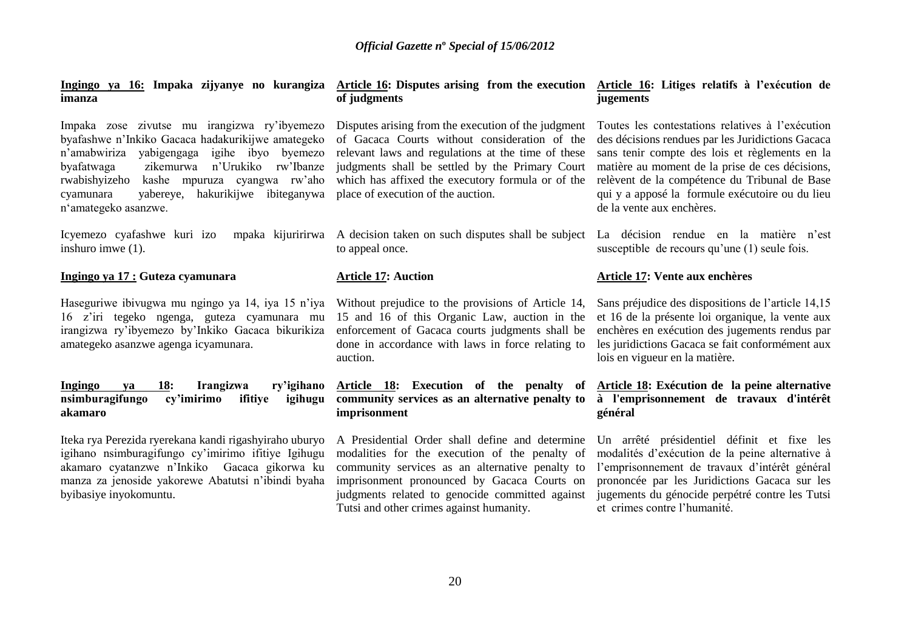| Ingingo ya 16: Impaka zijyanye no kurangiza<br>imanza                                                                                                                                                                                                                                                                                  | Article 16: Disputes arising from the execution Article 16: Litiges relatifs à l'exécution de<br>of judgments                                                                                                                                                                                            | jugements                                                                                                                                                                                                                                                                                                                                   |
|----------------------------------------------------------------------------------------------------------------------------------------------------------------------------------------------------------------------------------------------------------------------------------------------------------------------------------------|----------------------------------------------------------------------------------------------------------------------------------------------------------------------------------------------------------------------------------------------------------------------------------------------------------|---------------------------------------------------------------------------------------------------------------------------------------------------------------------------------------------------------------------------------------------------------------------------------------------------------------------------------------------|
| Impaka zose zivutse mu irangizwa ry'ibyemezo<br>byafashwe n'Inkiko Gacaca hadakurikijwe amategeko<br>n'amabwiriza<br>yabigengaga igihe ibyo byemezo<br>n'Urukiko<br>rw'Ibanze<br>byafatwaga<br>zikemurwa<br>rwabishyizeho<br>kashe mpuruza cyangwa rw'aho<br>hakurikijwe ibiteganywa<br>yabereye,<br>cyamunara<br>n'amategeko asanzwe. | Disputes arising from the execution of the judgment<br>of Gacaca Courts without consideration of the<br>relevant laws and regulations at the time of these<br>judgments shall be settled by the Primary Court<br>which has affixed the executory formula or of the<br>place of execution of the auction. | Toutes les contestations relatives à l'exécution<br>des décisions rendues par les Juridictions Gacaca<br>sans tenir compte des lois et règlements en la<br>matière au moment de la prise de ces décisions,<br>relèvent de la compétence du Tribunal de Base<br>qui y a apposé la formule exécutoire ou du lieu<br>de la vente aux enchères. |
| Icyemezo cyafashwe kuri izo<br>mpaka kijuririrwa<br>inshuro imwe (1).                                                                                                                                                                                                                                                                  | A decision taken on such disputes shall be subject<br>to appeal once.                                                                                                                                                                                                                                    | La décision rendue en la matière n'est<br>susceptible de recours qu'une (1) seule fois.                                                                                                                                                                                                                                                     |
| Ingingo ya 17 : Guteza cyamunara                                                                                                                                                                                                                                                                                                       | <b>Article 17: Auction</b>                                                                                                                                                                                                                                                                               | Article 17: Vente aux enchères                                                                                                                                                                                                                                                                                                              |
| Haseguriwe ibivugwa mu ngingo ya 14, iya 15 n'iya<br>16 z'iri tegeko ngenga, guteza cyamunara mu<br>irangizwa ry'ibyemezo by'Inkiko Gacaca bikurikiza<br>amategeko asanzwe agenga icyamunara.                                                                                                                                          | Without prejudice to the provisions of Article 14,<br>15 and 16 of this Organic Law, auction in the<br>enforcement of Gacaca courts judgments shall be<br>done in accordance with laws in force relating to<br>auction.                                                                                  | Sans préjudice des dispositions de l'article 14,15<br>et 16 de la présente loi organique, la vente aux<br>enchères en exécution des jugements rendus par<br>les juridictions Gacaca se fait conformément aux<br>lois en vigueur en la matière.                                                                                              |
| 18:<br>Irangizwa<br>ry'igihano<br>Ingingo<br>va<br>nsimburagifungo<br>cy'imirimo<br>ifitiye<br>igihugu<br>akamaro                                                                                                                                                                                                                      | Article 18: Execution of the penalty of<br>community services as an alternative penalty to<br>imprisonment                                                                                                                                                                                               | Article 18: Exécution de la peine alternative<br>à l'emprisonnement de travaux d'intérêt<br>général                                                                                                                                                                                                                                         |
| Iteka rya Perezida ryerekana kandi rigashyiraho uburyo<br>igihano nsimburagifungo cy'imirimo ifitiye Igihugu<br>akamaro cyatanzwe n'Inkiko Gacaca gikorwa ku<br>manza za jenoside yakorewe Abatutsi n'ibindi byaha<br>byibasiye inyokomuntu.                                                                                           | A Presidential Order shall define and determine<br>modalities for the execution of the penalty of<br>community services as an alternative penalty to<br>imprisonment pronounced by Gacaca Courts on<br>judgments related to genocide committed against<br>Tutsi and other crimes against humanity.       | Un arrêté présidentiel définit et fixe les<br>modalités d'exécution de la peine alternative à<br>l'emprisonnement de travaux d'intérêt général<br>prononcée par les Juridictions Gacaca sur les<br>jugements du génocide perpétré contre les Tutsi<br>et crimes contre l'humanité.                                                          |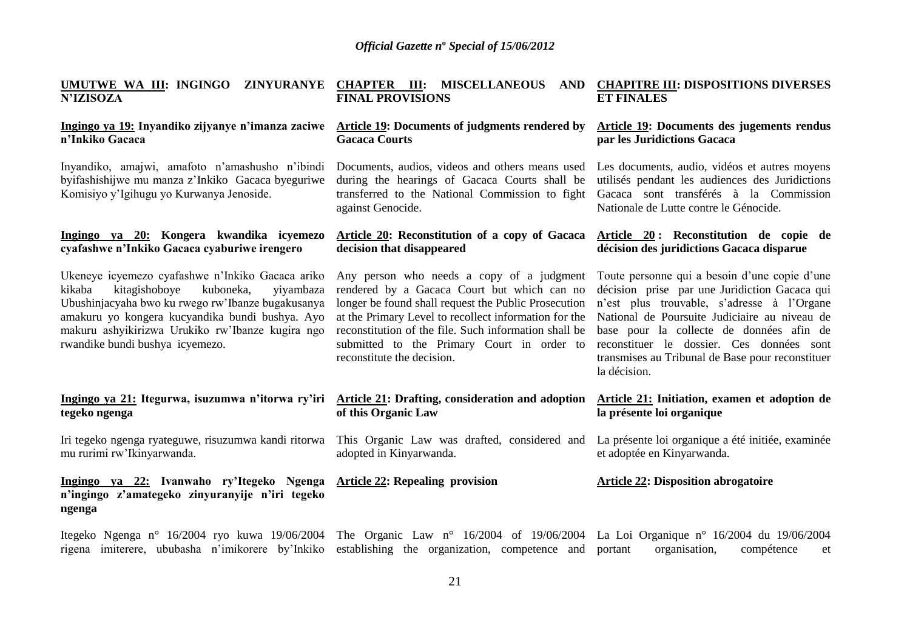| UMUTWE WA III: INGINGO ZINYURANYE CHAPTER III: MISCELLANEOUS<br><b>N'IZISOZA</b>                                                                                                                                                                                                                     | <b>FINAL PROVISIONS</b>                                                                                                                                                                                                                                                                                                                        | AND CHAPITRE III: DISPOSITIONS DIVERSES<br><b>ET FINALES</b>                                                                                                                                                                                                                                                                                               |
|------------------------------------------------------------------------------------------------------------------------------------------------------------------------------------------------------------------------------------------------------------------------------------------------------|------------------------------------------------------------------------------------------------------------------------------------------------------------------------------------------------------------------------------------------------------------------------------------------------------------------------------------------------|------------------------------------------------------------------------------------------------------------------------------------------------------------------------------------------------------------------------------------------------------------------------------------------------------------------------------------------------------------|
| Ingingo ya 19: Inyandiko zijyanye n'imanza zaciwe<br>n'Inkiko Gacaca                                                                                                                                                                                                                                 | Article 19: Documents of judgments rendered by<br><b>Gacaca Courts</b>                                                                                                                                                                                                                                                                         | Article 19: Documents des jugements rendus<br>par les Juridictions Gacaca                                                                                                                                                                                                                                                                                  |
| Inyandiko, amajwi, amafoto n'amashusho n'ibindi<br>byifashishijwe mu manza z'Inkiko Gacaca byeguriwe<br>Komisiyo y'Igihugu yo Kurwanya Jenoside.                                                                                                                                                     | Documents, audios, videos and others means used<br>during the hearings of Gacaca Courts shall be<br>transferred to the National Commission to fight<br>against Genocide.                                                                                                                                                                       | Les documents, audio, vidéos et autres moyens<br>utilisés pendant les audiences des Juridictions<br>Gacaca sont transférés à la Commission<br>Nationale de Lutte contre le Génocide.                                                                                                                                                                       |
| Ingingo ya 20: Kongera kwandika icyemezo<br>cyafashwe n'Inkiko Gacaca cyaburiwe irengero                                                                                                                                                                                                             | Article 20: Reconstitution of a copy of Gacaca<br>decision that disappeared                                                                                                                                                                                                                                                                    | Article 20: Reconstitution de copie de<br>décision des juridictions Gacaca disparue                                                                                                                                                                                                                                                                        |
| Ukeneye icyemezo cyafashwe n'Inkiko Gacaca ariko<br>kikaba<br>kitagishoboye<br>kuboneka,<br>yiyambaza<br>Ubushinjacyaha bwo ku rwego rw'Ibanze bugakusanya<br>amakuru yo kongera kucyandika bundi bushya. Ayo<br>makuru ashyikirizwa Urukiko rw'Ibanze kugira ngo<br>rwandike bundi bushya icyemezo. | Any person who needs a copy of a judgment<br>rendered by a Gacaca Court but which can no<br>longer be found shall request the Public Prosecution<br>at the Primary Level to recollect information for the<br>reconstitution of the file. Such information shall be<br>submitted to the Primary Court in order to<br>reconstitute the decision. | Toute personne qui a besoin d'une copie d'une<br>décision prise par une Juridiction Gacaca qui<br>n'est plus trouvable, s'adresse à l'Organe<br>National de Poursuite Judiciaire au niveau de<br>base pour la collecte de données afin de<br>reconstituer le dossier. Ces données sont<br>transmises au Tribunal de Base pour reconstituer<br>la décision. |
| Ingingo ya 21: Itegurwa, isuzumwa n'itorwa ry'iri Article 21: Drafting, consideration and adoption<br>tegeko ngenga                                                                                                                                                                                  | of this Organic Law                                                                                                                                                                                                                                                                                                                            | Article 21: Initiation, examen et adoption de<br>la présente loi organique                                                                                                                                                                                                                                                                                 |
| Iri tegeko ngenga ryateguwe, risuzumwa kandi ritorwa<br>mu rurimi rw'Ikinyarwanda.                                                                                                                                                                                                                   | This Organic Law was drafted, considered and<br>adopted in Kinyarwanda.                                                                                                                                                                                                                                                                        | La présente loi organique a été initiée, examinée<br>et adoptée en Kinyarwanda.                                                                                                                                                                                                                                                                            |
| Ingingo ya 22: Ivanwaho ry'Itegeko Ngenga<br>n'ingingo z'amategeko zinyuranyije n'iri tegeko<br>ngenga                                                                                                                                                                                               | <b>Article 22: Repealing provision</b>                                                                                                                                                                                                                                                                                                         | <b>Article 22: Disposition abrogatoire</b>                                                                                                                                                                                                                                                                                                                 |
| Itegeko Ngenga nº 16/2004 ryo kuwa 19/06/2004 The Organic Law nº 16/2004 of 19/06/2004 La Loi Organique nº 16/2004 du 19/06/2004<br>rigena imiterere, ububasha n'imikorere by'Inkiko                                                                                                                 | establishing the organization, competence and                                                                                                                                                                                                                                                                                                  | portant<br>organisation,<br>compétence<br>et                                                                                                                                                                                                                                                                                                               |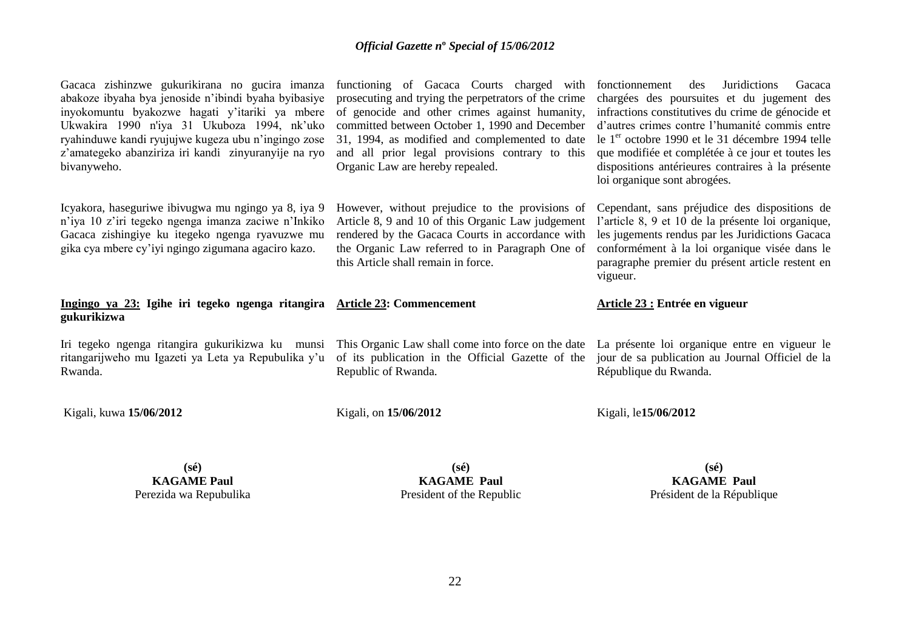| Gacaca zishinzwe gukurikirana no gucira imanza<br>abakoze ibyaha bya jenoside n'ibindi byaha byibasiye<br>inyokomuntu byakozwe hagati y'itariki ya mbere<br>Ukwakira 1990 n'iya 31 Ukuboza 1994, nk'uko<br>ryahinduwe kandi ryujujwe kugeza ubu n'ingingo zose<br>z'amategeko abanziriza iri kandi zinyuranyije na ryo<br>bivanyweho. | functioning of Gacaca Courts charged with<br>prosecuting and trying the perpetrators of the crime<br>of genocide and other crimes against humanity,<br>committed between October 1, 1990 and December<br>31, 1994, as modified and complemented to date<br>and all prior legal provisions contrary to this<br>Organic Law are hereby repealed. | <b>Juridictions</b><br>fonctionnement<br>des<br>Gacaca<br>chargées des poursuites et du jugement des<br>infractions constitutives du crime de génocide et<br>d'autres crimes contre l'humanité commis entre<br>le 1 <sup>er</sup> octobre 1990 et le 31 décembre 1994 telle<br>que modifiée et complétée à ce jour et toutes les<br>dispositions antérieures contraires à la présente<br>loi organique sont abrogées. |
|---------------------------------------------------------------------------------------------------------------------------------------------------------------------------------------------------------------------------------------------------------------------------------------------------------------------------------------|------------------------------------------------------------------------------------------------------------------------------------------------------------------------------------------------------------------------------------------------------------------------------------------------------------------------------------------------|-----------------------------------------------------------------------------------------------------------------------------------------------------------------------------------------------------------------------------------------------------------------------------------------------------------------------------------------------------------------------------------------------------------------------|
| Icyakora, haseguriwe ibivugwa mu ngingo ya 8, iya 9<br>n'iya 10 z'iri tegeko ngenga imanza zaciwe n'Inkiko<br>Gacaca zishingiye ku itegeko ngenga ryavuzwe mu<br>gika cya mbere cy'iyi ngingo zigumana agaciro kazo.                                                                                                                  | However, without prejudice to the provisions of<br>Article 8, 9 and 10 of this Organic Law judgement<br>rendered by the Gacaca Courts in accordance with<br>the Organic Law referred to in Paragraph One of<br>this Article shall remain in force.                                                                                             | Cependant, sans préjudice des dispositions de<br>l'article 8, 9 et 10 de la présente loi organique,<br>les jugements rendus par les Juridictions Gacaca<br>conformément à la loi organique visée dans le<br>paragraphe premier du présent article restent en<br>vigueur.                                                                                                                                              |
| Ingingo ya 23: Igihe iri tegeko ngenga ritangira Article 23: Commencement<br>gukurikizwa                                                                                                                                                                                                                                              |                                                                                                                                                                                                                                                                                                                                                | Article 23 : Entrée en vigueur                                                                                                                                                                                                                                                                                                                                                                                        |
| Iri tegeko ngenga ritangira gukurikizwa ku munsi<br>ritangarijweho mu Igazeti ya Leta ya Repubulika y'u<br>Rwanda.                                                                                                                                                                                                                    | This Organic Law shall come into force on the date<br>of its publication in the Official Gazette of the<br>Republic of Rwanda.                                                                                                                                                                                                                 | La présente loi organique entre en vigueur le<br>jour de sa publication au Journal Officiel de la<br>République du Rwanda.                                                                                                                                                                                                                                                                                            |
| Kigali, kuwa 15/06/2012                                                                                                                                                                                                                                                                                                               | Kigali, on 15/06/2012                                                                                                                                                                                                                                                                                                                          | Kigali, le15/06/2012                                                                                                                                                                                                                                                                                                                                                                                                  |

**(sé) KAGAME Paul** Perezida wa Repubulika

**(sé) KAGAME Paul** President of the Republic

**(sé) KAGAME Paul** Président de la République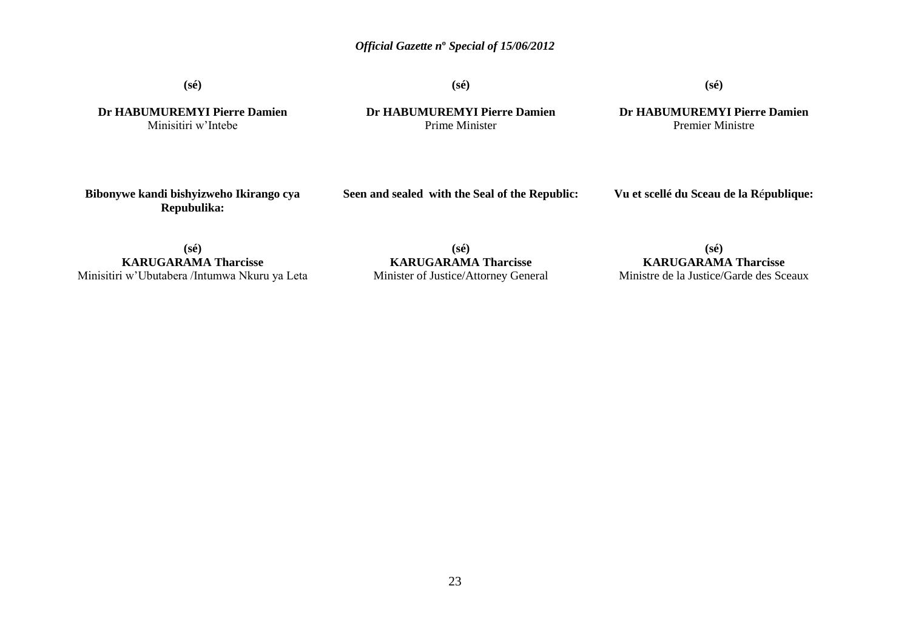**(sé)**

**(sé)**

# **(sé)**

**Dr HABUMUREMYI Pierre Damien** Minisitiri w"Intebe

**Dr HABUMUREMYI Pierre Damien** Prime Minister

**Dr HABUMUREMYI Pierre Damien** Premier Ministre

**Bibonywe kandi bishyizweho Ikirango cya Repubulika:**

**Seen and sealed with the Seal of the Republic:**

**Vu et scellé du Sceau de la R**é**publique:**

**(sé) KARUGARAMA Tharcisse** Minisitiri w"Ubutabera /Intumwa Nkuru ya Leta

**(sé) KARUGARAMA Tharcisse** Minister of Justice/Attorney General

**(sé) KARUGARAMA Tharcisse** Ministre de la Justice/Garde des Sceaux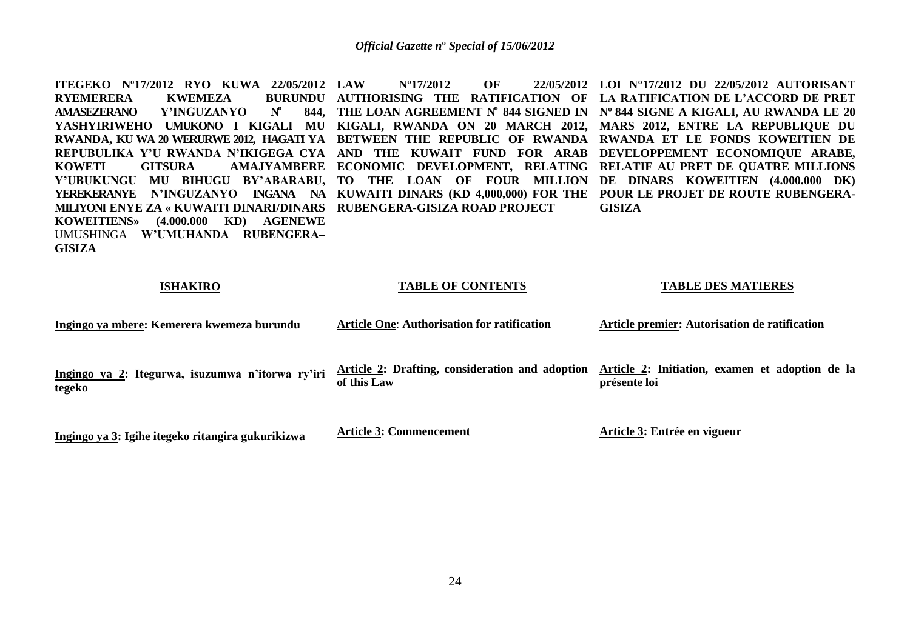**ITEGEKO Nº17/2012 RYO KUWA 22/05/2012 RYEMERERA KWEMEZA AMASEZERANO Y'INGUZANYO N o 844, THE LOAN AGREEMENT N o 844 SIGNED IN Nº 844 SIGNE A KIGALI, AU RWANDA LE 20 YASHYIRIWEHO UMUKONO I KIGALI MU KIGALI, RWANDA ON 20 MARCH 2012, MARS 2012, ENTRE LA REPUBLIQUE DU RWANDA, KU WA 20 WERURWE 2012, HAGATI YA BETWEEN THE REPUBLIC OF RWANDA RWANDA ET LE FONDS KOWEITIEN DE REPUBULIKA Y'U RWANDA N'IKIGEGA CYA AND THE KUWAIT FUND FOR ARAB DEVELOPPEMENT ECONOMIQUE ARABE, KOWETI GITSURA AMAJYAMBERE ECONOMIC DEVELOPMENT, RELATING RELATIF AU PRET DE QUATRE MILLIONS Y'UBUKUNGU MU BIHUGU BY'ABARABU, TO THE LOAN OF FOUR MILLION DE DINARS KOWEITIEN (4.000.000 DK) YEREKERANYE N'INGUZANYO INGANA NA KUWAITI DINARS (KD 4,000,000) FOR THE POUR LE PROJET DE ROUTE RUBENGERA-MILIYONI ENYE ZA « KUWAITI DINARI/DINARS RUBENGERA-GISIZA ROAD PROJECT KOWEITIENS» (4.000.000 KD) AGENEWE** UMUSHINGA **W'UMUHANDA RUBENGERA– GISIZA LAW Nº17/2012 OF 22/05/2012 LOI N°17/2012 DU 22/05/2012 AUTORISANT AUTHORISING THE RATIFICATION OF LA RATIFICATION DE L'ACCORD DE PRET GISIZA** 

#### **ISHAKIRO**

#### **TABLE OF CONTENTS**

#### **TABLE DES MATIERES**

| Ingingo ya mbere: Kemerera kwemeza burundu                 | <b>Article One: Authorisation for ratification</b>             | Article premier: Autorisation de ratification                   |
|------------------------------------------------------------|----------------------------------------------------------------|-----------------------------------------------------------------|
| Ingingo ya 2: Itegurwa, isuzumwa n'itorwa ry'iri<br>tegeko | Article 2: Drafting, consideration and adoption<br>of this Law | Article 2: Initiation, examen et adoption de la<br>présente loi |
| Ingingo ya 3: Igihe itegeko ritangira gukurikizwa          | <b>Article 3: Commencement</b>                                 | Article 3: Entrée en vigueur                                    |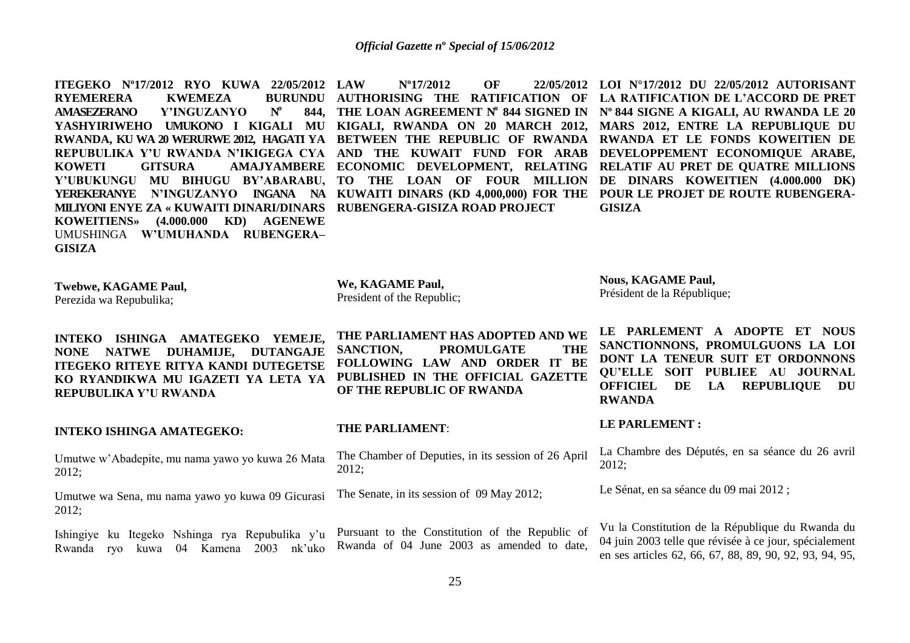**ITEGEKO Nº17/2012 RYO KUWA 22/05/2012 RYEMERERA KWEMEZA<br>AMASEZERANO Y'INGUZAN) AMASEZERANO Y'INGUZANYO N o YASHYIRIWEHO UMUKONO I KIGALI MU KIGALI, RWANDA ON 20 MARCH 2012, MARS 2012, ENTRE LA REPUBLIQUE DU RWANDA, KU WA 20 WERURWE 2012, HAGATI YA BETWEEN THE REPUBLIC OF RWANDA RWANDA ET LE FONDS KOWEITIEN DE REPUBULIKA Y'U RWANDA N'IKIGEGA CYA AND THE KUWAIT FUND FOR ARAB DEVELOPPEMENT ECONOMIQUE ARABE, KOWETI GITSURA AMAJYAMBERE ECONOMIC DEVELOPMENT, RELATING RELATIF AU PRET DE QUATRE MILLIONS Y'UBUKUNGU MU BIHUGU BY'ABARABU, TO THE LOAN OF FOUR MILLION DE DINARS KOWEITIEN (4.000.000 DK) YEREKERANYE N'INGUZANYO INGANA NA KUWAITI DINARS (KD 4,000,000) FOR THE POUR LE PROJET DE ROUTE RUBENGERA-MILIYONI ENYE ZA « KUWAITI DINARI/DINARS RUBENGERA-GISIZA ROAD PROJECT KOWEITIENS» (4.000.000 KD) AGENEWE** UMUSHINGA **W'UMUHANDA RUBENGERA– GISIZA**

**844, THE LOAN AGREEMENT N o 844 SIGNED IN Nº 844 SIGNE A KIGALI, AU RWANDA LE 20 LAW Nº17/2012 OF 22/05/2012 LOI N°17/2012 DU 22/05/2012 AUTORISANT AUTHORISING THE RATIFICATION OF LA RATIFICATION DE L'ACCORD DE PRET GISIZA** 

**Twebwe, KAGAME Paul,** Perezida wa Repubulika;

**We, KAGAME Paul,** President of the Republic;

**Nous, KAGAME Paul,** Président de la République;

**INTEKO ISHINGA AMATEGEKO YEMEJE, NONE NATWE DUHAMIJE, DUTANGAJE ITEGEKO RITEYE RITYA KANDI DUTEGETSE KO RYANDIKWA MU IGAZETI YA LETA YA REPUBULIKA Y'U RWANDA**

**INTEKO ISHINGA AMATEGEKO:** 

Umutwe w"Abadepite, mu nama yawo yo kuwa 26 Mata 2012;

Umutwe wa Sena, mu nama yawo yo kuwa 09 Gicurasi 2012;

**THE PARLIAMENT HAS ADOPTED AND WE** 

**SANCTION, PROMULGATE THE FOLLOWING LAW AND ORDER IT BE PUBLISHED IN THE OFFICIAL GAZETTE OF THE REPUBLIC OF RWANDA**

## **THE PARLIAMENT**:

The Chamber of Deputies, in its session of 26 April 2012;

The Senate, in its session of 09 May 2012;

**LE PARLEMENT A ADOPTE ET NOUS SANCTIONNONS, PROMULGUONS LA LOI DONT LA TENEUR SUIT ET ORDONNONS QU'ELLE SOIT PUBLIEE AU JOURNAL OFFICIEL DE LA REPUBLIQUE DU RWANDA**

**LE PARLEMENT :**

La Chambre des Députés, en sa séance du 26 avril 2012;

Le Sénat, en sa séance du 09 mai 2012 ;

Ishingiye ku Itegeko Nshinga rya Repubulika y"u Rwanda ryo kuwa 04 Kamena 2003 nk"uko Pursuant to the Constitution of the Republic of Rwanda of 04 June 2003 as amended to date, Vu la Constitution de la République du Rwanda du 04 juin 2003 telle que révisée à ce jour, spécialement en ses articles 62, 66, 67, 88, 89, 90, 92, 93, 94, 95,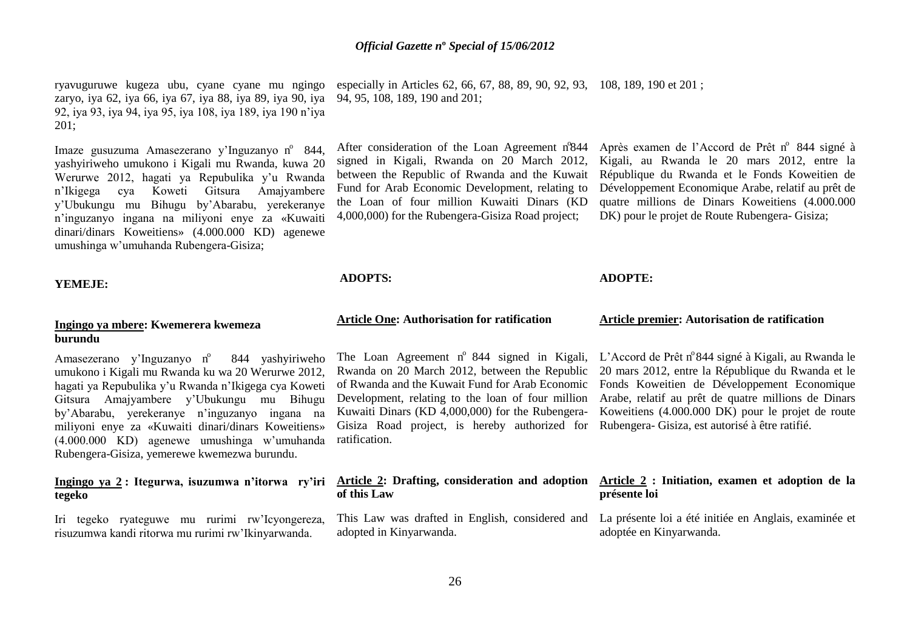ryavuguruwe kugeza ubu, cyane cyane mu ngingo zaryo, iya 62, iya 66, iya 67, iya 88, iya 89, iya 90, iya 92, iya 93, iya 94, iya 95, iya 108, iya 189, iya 190 n"iya 201;

Imaze gusuzuma Amasezerano y'Inguzanyo n° 844, yashyiriweho umukono i Kigali mu Rwanda, kuwa 20 Werurwe 2012, hagati ya Repubulika y"u Rwanda n"Ikigega cya Koweti Gitsura Amajyambere y"Ubukungu mu Bihugu by"Abarabu, yerekeranye n"inguzanyo ingana na miliyoni enye za «Kuwaiti dinari/dinars Koweitiens» (4.000.000 KD) agenewe umushinga w"umuhanda Rubengera-Gisiza;

#### **YEMEJE:**

#### **Ingingo ya mbere: Kwemerera kwemeza burundu**

Amasezerano y'Inguzanyo n° 844 yashyiriweho umukono i Kigali mu Rwanda ku wa 20 Werurwe 2012, hagati ya Repubulika y"u Rwanda n"Ikigega cya Koweti Gitsura Amajyambere y"Ubukungu mu Bihugu by"Abarabu, yerekeranye n"inguzanyo ingana na miliyoni enye za «Kuwaiti dinari/dinars Koweitiens» (4.000.000 KD) agenewe umushinga w"umuhanda Rubengera-Gisiza, yemerewe kwemezwa burundu.

# **Ingingo ya 2 : Itegurwa, isuzumwa n'itorwa ry'iri tegeko**

Iri tegeko ryateguwe mu rurimi rw"Icyongereza, risuzumwa kandi ritorwa mu rurimi rw"Ikinyarwanda.

especially in Articles 62, 66, 67, 88, 89, 90, 92, 93, 108, 189, 190 et 201 ; 94, 95, 108, 189, 190 and 201;

After consideration of the Loan Agreement nº844 signed in Kigali, Rwanda on 20 March 2012, between the Republic of Rwanda and the Kuwait Fund for Arab Economic Development, relating to the Loan of four million Kuwaiti Dinars (KD 4,000,000) for the Rubengera-Gisiza Road project;

**ADOPTS:**

# **Article One: Authorisation for ratification**

Gisiza Road project, is hereby authorized for Rubengera- Gisiza, est autorisé à être ratifié. ratification.

# **of this Law**

adopted in Kinyarwanda.

Après examen de l'Accord de Prêt n° 844 signé à Kigali, au Rwanda le 20 mars 2012, entre la République du Rwanda et le Fonds Koweitien de Développement Economique Arabe, relatif au prêt de quatre millions de Dinars Koweitiens (4.000.000 DK) pour le projet de Route Rubengera- Gisiza;

#### **ADOPTE:**

#### **Article premier: Autorisation de ratification**

The Loan Agreement nº 844 signed in Kigali, L'Accord de Prêt nº 844 signé à Kigali, au Rwanda le Rwanda on 20 March 2012, between the Republic 20 mars 2012, entre la République du Rwanda et le of Rwanda and the Kuwait Fund for Arab Economic Fonds Koweitien de Développement Economique Development, relating to the loan of four million Arabe, relatif au prêt de quatre millions de Dinars Kuwaiti Dinars (KD 4,000,000) for the Rubengera-Koweitiens (4.000.000 DK) pour le projet de route

#### **Article 2: Drafting, consideration and adoption Article 2 : Initiation, examen et adoption de la présente loi**

This Law was drafted in English, considered and La présente loi a été initiée en Anglais, examinée et adoptée en Kinyarwanda.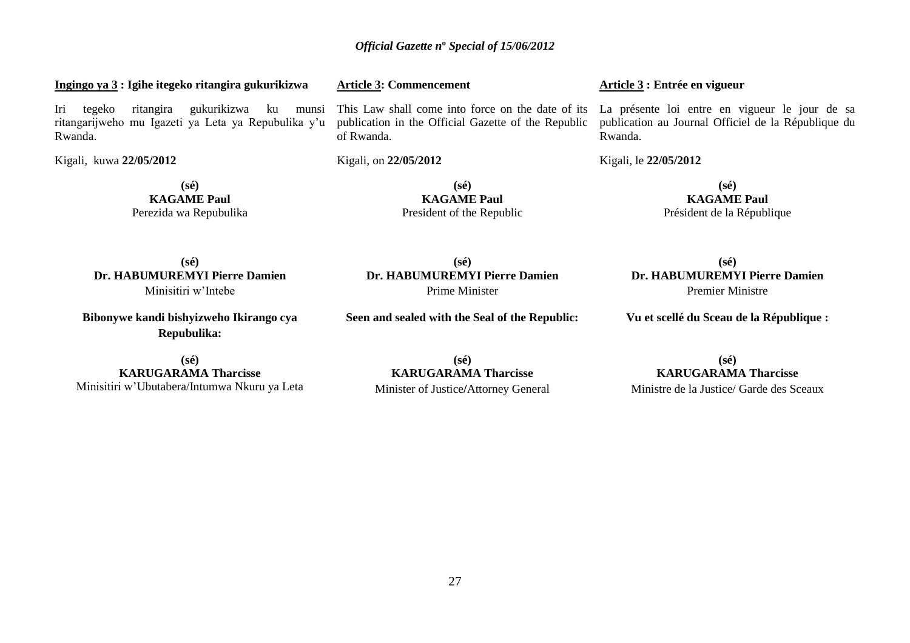# **Ingingo ya 3 : Igihe itegeko ritangira gukurikizwa**

Iri tegeko ritangira gukurikizwa ku munsi ritangarijweho mu Igazeti ya Leta ya Repubulika y"u Rwanda.

Kigali, kuwa **22/05/2012** 

**(sé) KAGAME Paul** Perezida wa Repubulika **Article 3: Commencement** 

publication in the Official Gazette of the Republic of Rwanda.

Kigali, on **22/05/2012** 

**(sé) KAGAME Paul** President of the Republic

**(sé) Dr. HABUMUREMYI Pierre Damien** Prime Minister

**Seen and sealed with the Seal of the Republic:**

**(sé) Dr. HABUMUREMYI Pierre Damien** Minisitiri w"Intebe

**Bibonywe kandi bishyizweho Ikirango cya Repubulika:**

**(sé) KARUGARAMA Tharcisse** Minisitiri w"Ubutabera/Intumwa Nkuru ya Leta

**(sé) KARUGARAMA Tharcisse** Minister of Justice**/**Attorney General **Article 3 : Entrée en vigueur** 

This Law shall come into force on the date of its La présente loi entre en vigueur le jour de sa publication au Journal Officiel de la République du Rwanda.

Kigali, le **22/05/2012** 

**(sé) KAGAME Paul** Président de la République

**(sé) Dr. HABUMUREMYI Pierre Damien** Premier Ministre

**Vu et scellé du Sceau de la République :**

**(sé) KARUGARAMA Tharcisse** Ministre de la Justice/ Garde des Sceaux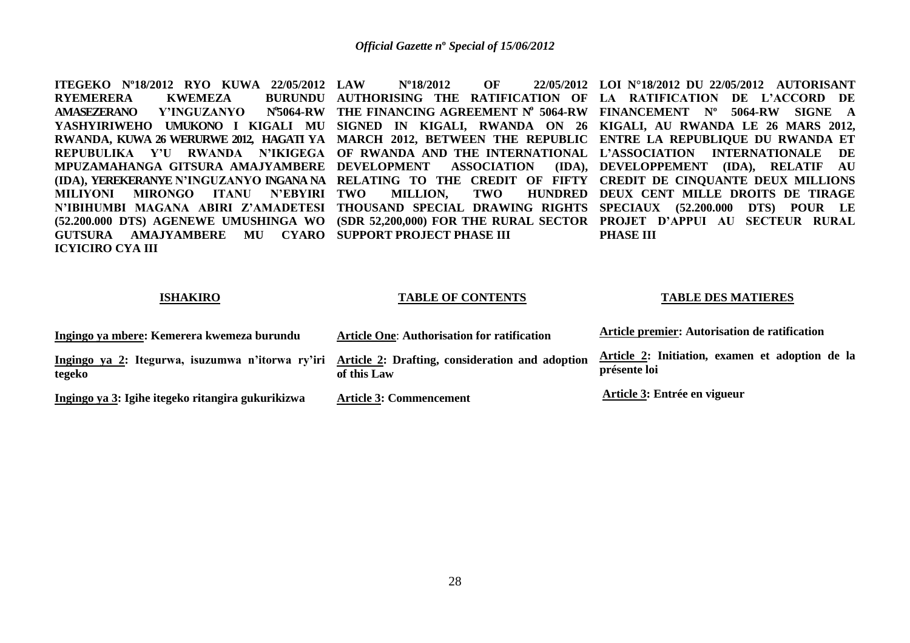**ITEGEKO Nº18/2012 RYO KUWA 22/05/2012 RYEMERERA KWEMEZA AMASEZERANO Y'INGUZANYO N o 5064-RW THE FINANCING AGREEMENT N o 5064-RW FINANCEMENT Nº 5064-RW SIGNE A YASHYIRIWEHO UMUKONO I KIGALI MU SIGNED IN KIGALI, RWANDA ON 26 KIGALI, AU RWANDA LE 26 MARS 2012, RWANDA, KUWA 26 WERURWE 2012, HAGATI YA MARCH 2012, BETWEEN THE REPUBLIC ENTRE LA REPUBLIQUE DU RWANDA ET REPUBULIKA Y'U RWANDA N'IKIGEGA OF RWANDA AND THE INTERNATIONAL L'ASSOCIATION INTERNATIONALE DE MPUZAMAHANGA GITSURA AMAJYAMBERE DEVELOPMENT ASSOCIATION (IDA), DEVELOPPEMENT (IDA), RELATIF AU (IDA), YEREKERANYE N'INGUZANYO INGANA NA RELATING TO THE CREDIT OF FIFTY CREDIT DE CINQUANTE DEUX MILLIONS MILIYONI MIRONGO ITANU N'EBYIRI TWO N'IBIHUMBI MAGANA ABIRI Z'AMADETESI THOUSAND SPECIAL DRAWING RIGHTS SPECIAUX (52.200.000 DTS) POUR LE (52.200.000 DTS) AGENEWE UMUSHINGA WO (SDR 52,200,000) FOR THE RURAL SECTOR PROJET D'APPUI AU SECTEUR RURAL GUTSURA AMAJYAMBERE MU CYARO SUPPORT PROJECT PHASE III ICYICIRO CYA III LAW Nº18/2012 OF 22/05/2012 LOI N°18/2012 DU 22/05/2012 AUTORISANT AUTHORISING THE RATIFICATION OF LA RATIFICATION DE L'ACCORD DE TWO MILLION, TWO HUNDRED DEUX CENT MILLE DROITS DE TIRAGE PHASE III**

#### **ISHAKIRO**

#### **TABLE OF CONTENTS**

#### **TABLE DES MATIERES**

| Ingingo ya mbere: Kemerera kwemeza burundu                                                                 | <b>Article One: Authorisation for ratification</b> | Article premier: Autorisation de ratification                   |
|------------------------------------------------------------------------------------------------------------|----------------------------------------------------|-----------------------------------------------------------------|
| Ingingo ya 2: Itegurwa, isuzumwa n'itorwa ry'iri Article 2: Drafting, consideration and adoption<br>tegeko | of this Law                                        | Article 2: Initiation, examen et adoption de la<br>présente loi |
| Ingingo ya 3: Igihe itegeko ritangira gukurikizwa                                                          | <b>Article 3: Commencement</b>                     | Article 3: Entrée en vigueur                                    |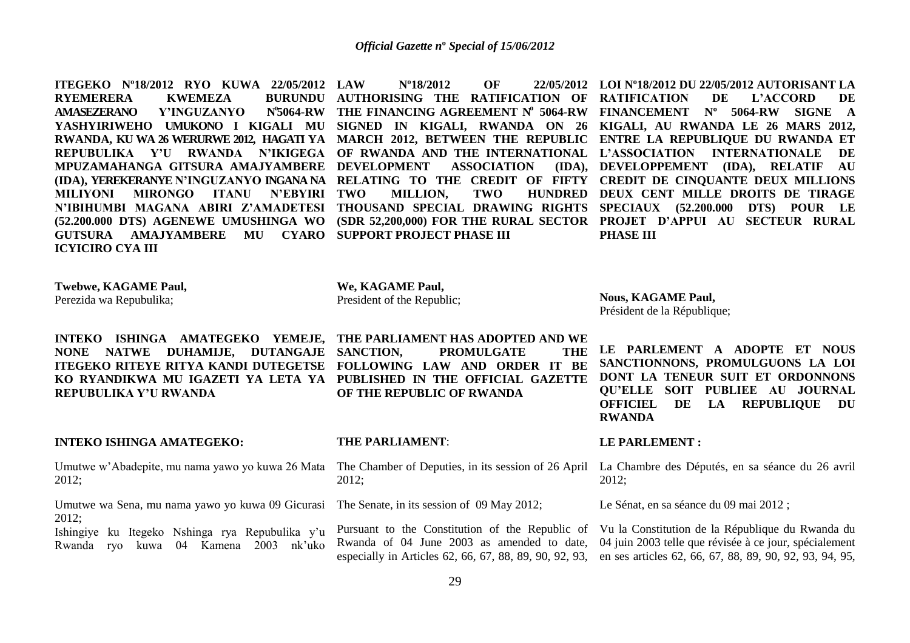**ITEGEKO Nº18/2012 RYO KUWA 22/05/2012 RYEMERERA KWEMEZA AMASEZERANO Y'INGUZANYO N o 5064-RW THE FINANCING AGREEMENT N o 5064-RW FINANCEMENT Nº 5064-RW SIGNE A YASHYIRIWEHO UMUKONO I KIGALI MU SIGNED IN KIGALI, RWANDA ON 26 KIGALI, AU RWANDA LE 26 MARS 2012, RWANDA, KU WA 26 WERURWE 2012, HAGATI YA MARCH 2012, BETWEEN THE REPUBLIC ENTRE LA REPUBLIQUE DU RWANDA ET REPUBULIKA Y'U RWANDA N'IKIGEGA OF RWANDA AND THE INTERNATIONAL L'ASSOCIATION INTERNATIONALE DE MPUZAMAHANGA GITSURA AMAJYAMBERE DEVELOPMENT ASSOCIATION (IDA), (IDA), YEREKERANYE N'INGUZANYO INGANA NA RELATING TO THE CREDIT OF FIFTY CREDIT DE CINQUANTE DEUX MILLIONS MILIYONI MIRONGO ITANU N'EBYIRI N'IBIHUMBI MAGANA ABIRI Z'AMADETESI THOUSAND SPECIAL DRAWING RIGHTS SPECIAUX (52.200.000 DTS) POUR LE (52.200.000 DTS) AGENEWE UMUSHINGA WO (SDR 52,200,000) FOR THE RURAL SECTOR PROJET D'APPUI AU SECTEUR RURAL GUTSURA AMAJYAMBERE MU CYARO SUPPORT PROJECT PHASE III ICYICIRO CYA III LAW Nº18/2012 OF 22/05/2012 LOI Nº18/2012 DU 22/05/2012 AUTORISANT LA AUTHORISING THE RATIFICATION OF RATIFICATION DE L'ACCORD DE TWO MILLION, TWO HUNDRED DEUX CENT MILLE DROITS DE TIRAGE DEVELOPPEMENT (IDA), RELATIF AU PHASE III**

**Twebwe, KAGAME Paul,**

Perezida wa Repubulika;

**INTEKO ISHINGA AMATEGEKO YEMEJE, THE PARLIAMENT HAS ADOPTED AND WE NONE NATWE DUHAMIJE, DUTANGAJE SANCTION, ITEGEKO RITEYE RITYA KANDI DUTEGETSE FOLLOWING LAW AND ORDER IT BE KO RYANDIKWA MU IGAZETI YA LETA YA PUBLISHED IN THE OFFICIAL GAZETTE REPUBULIKA Y'U RWANDA**

#### **INTEKO ISHINGA AMATEGEKO:**

2012;

Umutwe wa Sena, mu nama yawo yo kuwa 09 Gicurasi The Senate, in its session of 09 May 2012; 2012;

Ishingiye ku Itegeko Nshinga rya Repubulika y"u Rwanda ryo kuwa 04 Kamena 2003 nk"uko

**We, KAGAME Paul,** President of the Republic;

**Nous, KAGAME Paul,** Président de la République;

**PROMULGATE OF THE REPUBLIC OF RWANDA**

**LE PARLEMENT A ADOPTE ET NOUS SANCTIONNONS, PROMULGUONS LA LOI DONT LA TENEUR SUIT ET ORDONNONS QU'ELLE SOIT PUBLIEE AU JOURNAL OFFICIEL DE LA REPUBLIQUE DU RWANDA**

#### **THE PARLIAMENT**:

Umutwe w'Abadepite, mu nama yawo yo kuwa 26 Mata The Chamber of Deputies, in its session of 26 April La Chambre des Députés, en sa séance du 26 avril 2012;

#### **LE PARLEMENT :**

2012;

Le Sénat, en sa séance du 09 mai 2012 ;

Pursuant to the Constitution of the Republic of Vu la Constitution de la République du Rwanda du Rwanda of 04 June 2003 as amended to date, 04 juin 2003 telle que révisée à ce jour, spécialement especially in Articles 62, 66, 67, 88, 89, 90, 92, 93, en ses articles 62, 66, 67, 88, 89, 90, 92, 93, 94, 95,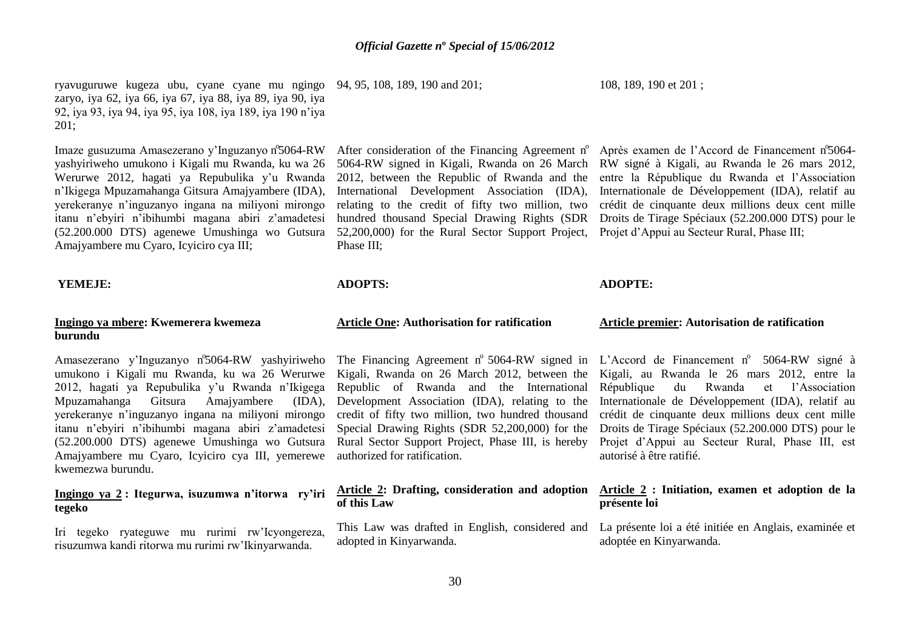ryavuguruwe kugeza ubu, cyane cyane mu ngingo 94, 95, 108, 189, 190 and 201; zaryo, iya 62, iya 66, iya 67, iya 88, iya 89, iya 90, iya 92, iya 93, iya 94, iya 95, iya 108, iya 189, iya 190 n"iya 201;

Imaze gusuzuma Amasezerano y'Inguzanyo n°5064-RW yashyiriweho umukono i Kigali mu Rwanda, ku wa 26 Werurwe 2012, hagati ya Repubulika y"u Rwanda n"Ikigega Mpuzamahanga Gitsura Amajyambere (IDA), yerekeranye n"inguzanyo ingana na miliyoni mirongo itanu n"ebyiri n"ibihumbi magana abiri z"amadetesi hundred thousand Special Drawing Rights (SDR Droits de Tirage Spéciaux (52.200.000 DTS) pour le (52.200.000 DTS) agenewe Umushinga wo Gutsura 52,200,000) for the Rural Sector Support Project, Projet d"Appui au Secteur Rural, Phase III; Amajyambere mu Cyaro, Icyiciro cya III;

#### **YEMEJE:**

#### **Ingingo ya mbere: Kwemerera kwemeza burundu**

umukono i Kigali mu Rwanda, ku wa 26 Werurwe Kigali, Rwanda on 26 March 2012, between the Kigali, au Rwanda le 26 mars 2012, entre la 2012, hagati ya Repubulika y"u Rwanda n"Ikigega Mpuzamahanga Gitsura Amajyambere (IDA), yerekeranye n"inguzanyo ingana na miliyoni mirongo itanu n"ebyiri n"ibihumbi magana abiri z"amadetesi (52.200.000 DTS) agenewe Umushinga wo Gutsura Amajyambere mu Cyaro, Icyiciro cya III, yemerewe kwemezwa burundu.

# **Ingingo ya 2 : Itegurwa, isuzumwa n'itorwa ry'iri tegeko**

Iri tegeko ryateguwe mu rurimi rw"Icyongereza, risuzumwa kandi ritorwa mu rurimi rw"Ikinyarwanda.

After consideration of the Financing Agreement n° Après examen de l'Accord de Financement n°5064-Phase III;

#### **ADOPTS:**

#### **Article One: Authorisation for ratification**

credit of fifty two million, two hundred thousand Rural Sector Support Project, Phase III, is hereby authorized for ratification.

# **of this Law**

adopted in Kinyarwanda.

#### 108, 189, 190 et 201 ;

5064-RW signed in Kigali, Rwanda on 26 March RW signé à Kigali, au Rwanda le 26 mars 2012, 2012, between the Republic of Rwanda and the entre la République du Rwanda et l"Association International Development Association (IDA), Internationale de Développement (IDA), relatif au relating to the credit of fifty two million, two crédit de cinquante deux millions deux cent mille

#### **ADOPTE:**

#### **Article premier: Autorisation de ratification**

Amasezerano y'Inguzanyo n°5064-RW yashyiriweho The Financing Agreement n° 5064-RW signed in L'Accord de Financement n° 5064-RW signé à Republic of Rwanda and the International République du Rwanda et l"Association Development Association (IDA), relating to the Internationale de Développement (IDA), relatif au Special Drawing Rights (SDR 52,200,000) for the Droits de Tirage Spéciaux (52.200.000 DTS) pour le crédit de cinquante deux millions deux cent mille Projet d"Appui au Secteur Rural, Phase III, est autorisé à être ratifié.

#### **Article 2: Drafting, consideration and adoption Article 2 : Initiation, examen et adoption de la présente loi**

This Law was drafted in English, considered and La présente loi a été initiée en Anglais, examinée et adoptée en Kinyarwanda.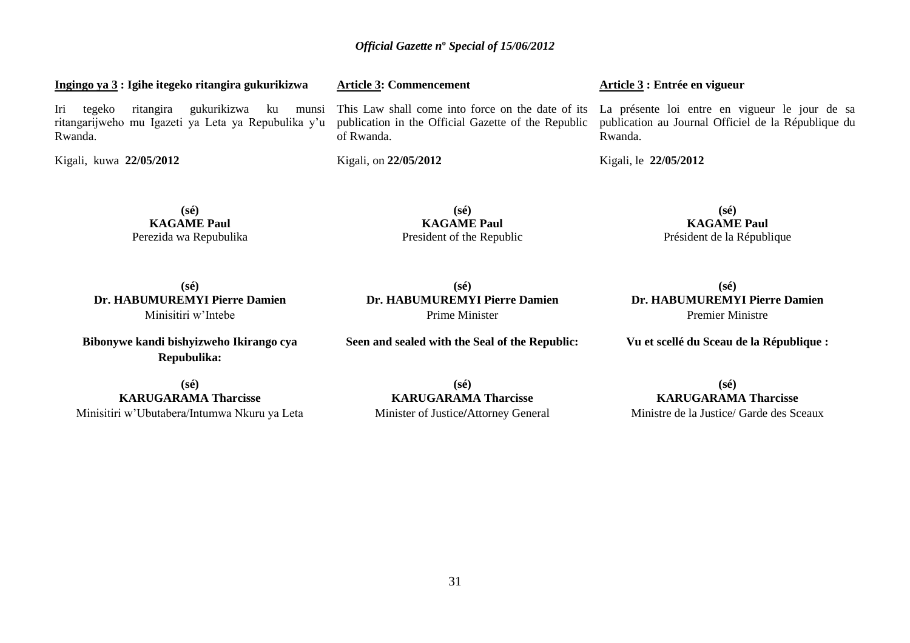publication in the Official Gazette of the Republic

**Article 3: Commencement** 

of Rwanda.

Kigali, on **22/05/2012** 

**Ingingo ya 3 : Igihe itegeko ritangira gukurikizwa**

Iri tegeko ritangira gukurikizwa ku munsi ritangarijweho mu Igazeti ya Leta ya Repubulika y"u Rwanda.

Kigali, kuwa **22/05/2012**

**(sé) KAGAME Paul** Perezida wa Repubulika

**KAGAME Paul** President of the Republic

**(sé) Dr. HABUMUREMYI Pierre Damien** Prime Minister

**Seen and sealed with the Seal of the Republic:**

**(sé)**

# **Article 3 : Entrée en vigueur**

This Law shall come into force on the date of its La présente loi entre en vigueur le jour de sa publication au Journal Officiel de la République du Rwanda.

Kigali, le **22/05/2012** 

**(sé) KAGAME Paul** Président de la République

**(sé) Dr. HABUMUREMYI Pierre Damien** Minisitiri w"Intebe

**Bibonywe kandi bishyizweho Ikirango cya Repubulika:**

**(sé) KARUGARAMA Tharcisse** Minisitiri w"Ubutabera/Intumwa Nkuru ya Leta

**(sé) KARUGARAMA Tharcisse**

**(sé) KARUGARAMA Tharcisse** Ministre de la Justice/ Garde des Sceaux

**Dr. HABUMUREMYI Pierre Damien** Premier Ministre

**(sé)**

**Vu et scellé du Sceau de la République :**

Minister of Justice**/**Attorney General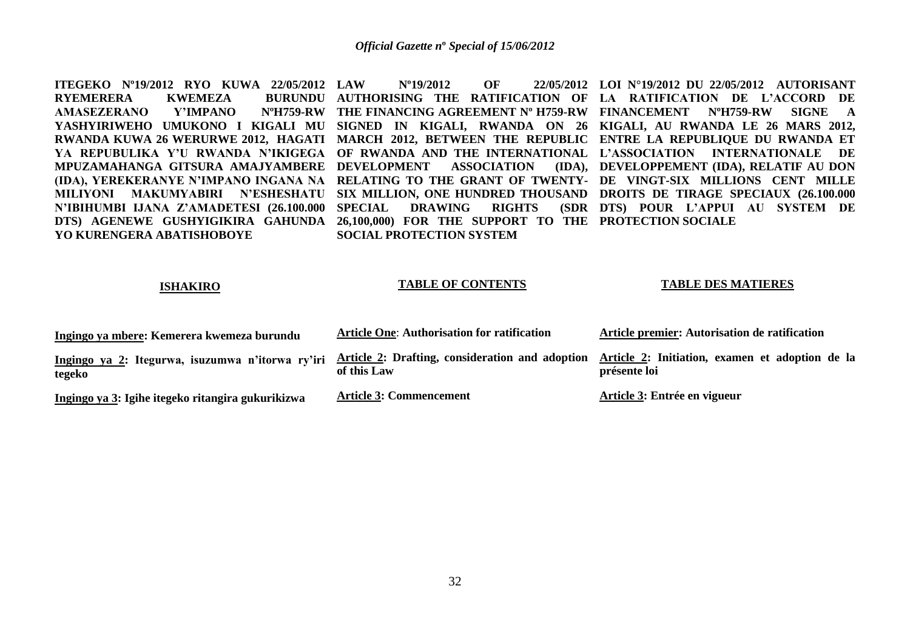**ITEGEKO Nº19/2012 RYO KUWA 22/05/2012 RYEMERERA KWEMEZA<br>AMASEZERANO Y'IMPANO** AMASEZERANO **YASHYIRIWEHO UMUKONO I KIGALI MU SIGNED IN KIGALI, RWANDA ON 26 KIGALI, AU RWANDA LE 26 MARS 2012, RWANDA KUWA 26 WERURWE 2012, HAGATI MARCH 2012, BETWEEN THE REPUBLIC ENTRE LA REPUBLIQUE DU RWANDA ET YA REPUBULIKA Y'U RWANDA N'IKIGEGA OF RWANDA AND THE INTERNATIONAL L'ASSOCIATION INTERNATIONALE DE MPUZAMAHANGA GITSURA AMAJYAMBERE DEVELOPMENT ASSOCIATION (IDA), DEVELOPPEMENT (IDA), RELATIF AU DON (IDA), YEREKERANYE N'IMPANO INGANA NA RELATING TO THE GRANT OF TWENTY-DE VINGT-SIX MILLIONS CENT MILLE MILIYONI MAKUMYABIRI N'ESHESHATU SIX MILLION, ONE HUNDRED THOUSAND DROITS DE TIRAGE SPECIAUX (26.100.000 N'IBIHUMBI IJANA Z'AMADETESI (26.100.000 DTS) AGENEWE GUSHYIGIKIRA GAHUNDA 26,100,000) FOR THE SUPPORT TO THE PROTECTION SOCIALE YO KURENGERA ABATISHOBOYE LAW Nº19/2012 OF 22/05/2012 LOI N°19/2012 DU 22/05/2012 AUTORISANT AUTHORISING THE RATIFICATION OF LA RATIFICATION DE L'ACCORD DE THE FINANCING AGREEMENT Nº H759-RW FINANCEMENT NºH759-RW SIGNE A DRAWING RIGHTS SOCIAL PROTECTION SYSTEM DTS) POUR L'APPUI AU SYSTEM DE**

#### **ISHAKIRO**

#### **TABLE OF CONTENTS**

#### **TABLE DES MATIERES**

| Ingingo ya mbere: Kemerera kwemeza burundu                                                                 | <b>Article One: Authorisation for ratification</b> | Article premier: Autorisation de ratification                   |
|------------------------------------------------------------------------------------------------------------|----------------------------------------------------|-----------------------------------------------------------------|
| Ingingo ya 2: Itegurwa, isuzumwa n'itorwa ry'iri Article 2: Drafting, consideration and adoption<br>tegeko | of this Law                                        | Article 2: Initiation, examen et adoption de la<br>présente loi |
| Ingingo ya 3: Igihe itegeko ritangira gukurikizwa                                                          | <b>Article 3: Commencement</b>                     | Article 3: Entrée en vigueur                                    |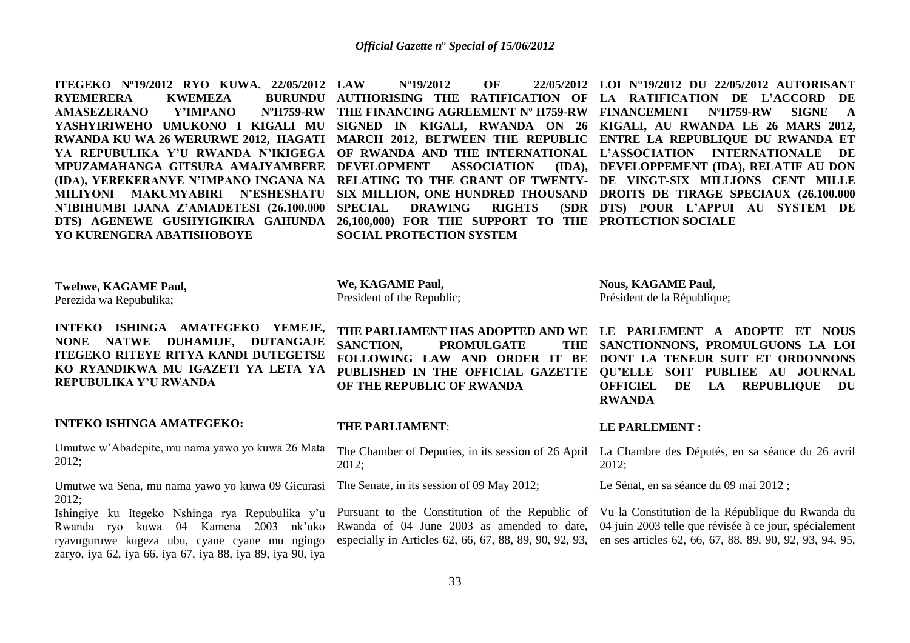**ITEGEKO Nº19/2012 RYO KUWA. 22/05/2012 RYEMERERA KWEMEZA<br>AMASEZERANO Y'IMPANO** AMASEZERANO **YASHYIRIWEHO UMUKONO I KIGALI MU SIGNED IN KIGALI, RWANDA ON 26 KIGALI, AU RWANDA LE 26 MARS 2012, RWANDA KU WA 26 WERURWE 2012, HAGATI MARCH 2012, BETWEEN THE REPUBLIC ENTRE LA REPUBLIQUE DU RWANDA ET YA REPUBULIKA Y'U RWANDA N'IKIGEGA OF RWANDA AND THE INTERNATIONAL L'ASSOCIATION INTERNATIONALE DE MPUZAMAHANGA GITSURA AMAJYAMBERE DEVELOPMENT ASSOCIATION (IDA), (IDA), YEREKERANYE N'IMPANO INGANA NA RELATING TO THE GRANT OF TWENTY-DE VINGT-SIX MILLIONS CENT MILLE MILIYONI MAKUMYABIRI N'ESHESHATU SIX MILLION, ONE HUNDRED THOUSAND DROITS DE TIRAGE SPECIAUX (26.100.000 N'IBIHUMBI IJANA Z'AMADETESI (26.100.000 DTS) AGENEWE GUSHYIGIKIRA GAHUNDA 26,100,000) FOR THE SUPPORT TO THE PROTECTION SOCIALE YO KURENGERA ABATISHOBOYE LAW Nº19/2012 OF 22/05/2012 LOI N°19/2012 DU 22/05/2012 AUTORISANT AUTHORISING THE RATIFICATION OF LA RATIFICATION DE L'ACCORD DE THE FINANCING AGREEMENT Nº H759-RW FINANCEMENT NºH759-RW SIGNE A DRAWING RIGHTS SOCIAL PROTECTION SYSTEM (IDA), DEVELOPPEMENT (IDA), RELATIF AU DON DTS) POUR L'APPUI AU SYSTEM DE**

**Nous, KAGAME Paul,**

**We, KAGAME Paul,**

**Twebwe, KAGAME Paul,** Perezida wa Repubulika; **INTEKO ISHINGA AMATEGEKO YEMEJE, NONE NATWE DUHAMIJE, DUTANGAJE ITEGEKO RITEYE RITYA KANDI DUTEGETSE KO RYANDIKWA MU IGAZETI YA LETA YA REPUBULIKA Y'U RWANDA INTEKO ISHINGA AMATEGEKO:**  Umutwe w"Abadepite, mu nama yawo yo kuwa 26 Mata 2012; Umutwe wa Sena, mu nama yawo yo kuwa 09 Gicurasi 2012; Ishingiye ku Itegeko Nshinga rya Repubulika y"u Rwanda ryo kuwa 04 Kamena 2003 nk"uko ryavuguruwe kugeza ubu, cyane cyane mu ngingo zaryo, iya 62, iya 66, iya 67, iya 88, iya 89, iya 90, iya President of the Republic; **THE PARLIAMENT HAS ADOPTED AND WE LE PARLEMENT A ADOPTE ET NOUS SANCTION, PROMULGATE FOLLOWING LAW AND ORDER IT BE DONT LA TENEUR SUIT ET ORDONNONS PUBLISHED IN THE OFFICIAL GAZETTE QU'ELLE SOIT PUBLIEE AU JOURNAL OF THE REPUBLIC OF RWANDA THE PARLIAMENT**: The Chamber of Deputies, in its session of 26 April La Chambre des Députés, en sa séance du 26 avril 2012; The Senate, in its session of 09 May 2012; Pursuant to the Constitution of the Republic of Vu la Constitution de la République du Rwanda du Rwanda of 04 June 2003 as amended to date, 04 juin 2003 telle que révisée à ce jour, spécialement especially in Articles 62, 66, 67, 88, 89, 90, 92, 93, en ses articles 62, 66, 67, 88, 89, 90, 92, 93, 94, 95, Président de la République; THE SANCTIONNONS, PROMULGUONS LA LOI **OFFICIEL DE LA REPUBLIQUE DU RWANDA LE PARLEMENT :** 2012; Le Sénat, en sa séance du 09 mai 2012 ;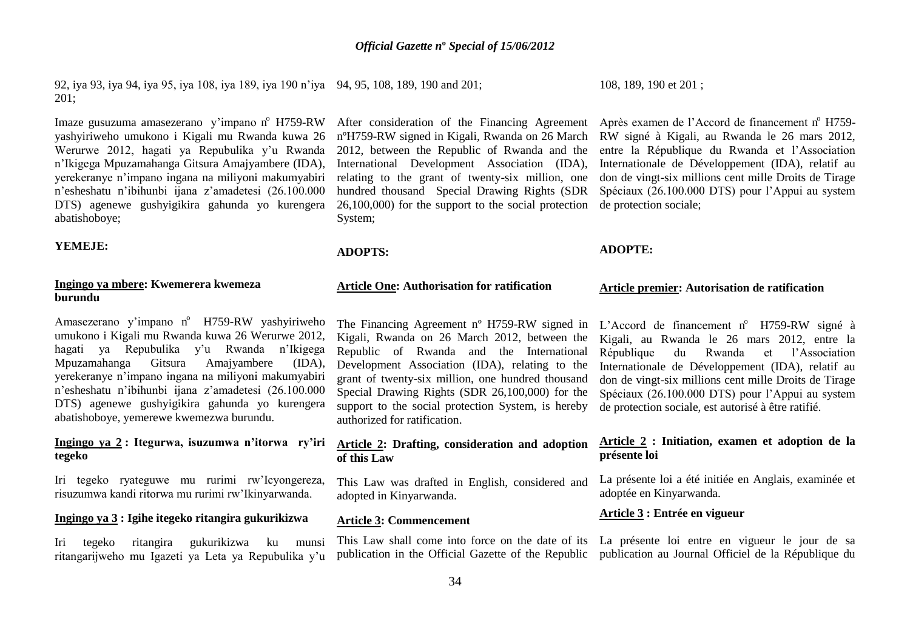92, iya 93, iya 94, iya 95, iya 108, iya 189, iya 190 n"iya 94, 95, 108, 189, 190 and 201; 201;

Imaze gusuzuma amasezerano y'impano n<sup>o</sup> H759-RW yashyiriweho umukono i Kigali mu Rwanda kuwa 26 Werurwe 2012, hagati ya Repubulika y"u Rwanda n"Ikigega Mpuzamahanga Gitsura Amajyambere (IDA), yerekeranye n"impano ingana na miliyoni makumyabiri n"esheshatu n"ibihunbi ijana z"amadetesi (26.100.000 DTS) agenewe gushyigikira gahunda yo kurengera abatishoboye;

#### **YEMEJE:**

# **Ingingo ya mbere: Kwemerera kwemeza burundu**

Amasezerano y'impano nº H759-RW yashyiriweho umukono i Kigali mu Rwanda kuwa 26 Werurwe 2012, hagati ya Repubulika y"u Rwanda n"Ikigega Mpuzamahanga Gitsura Amajyambere (IDA), yerekeranye n"impano ingana na miliyoni makumyabiri n"esheshatu n"ibihunbi ijana z"amadetesi (26.100.000 DTS) agenewe gushyigikira gahunda yo kurengera abatishoboye, yemerewe kwemezwa burundu.

# **Ingingo ya 2 : Itegurwa, isuzumwa n'itorwa ry'iri tegeko**

Iri tegeko ryateguwe mu rurimi rw"Icyongereza, risuzumwa kandi ritorwa mu rurimi rw"Ikinyarwanda.

# **Ingingo ya 3 : Igihe itegeko ritangira gukurikizwa**

Iri tegeko ritangira gukurikizwa ku munsi ritangarijweho mu Igazeti ya Leta ya Repubulika y"u

2012, between the Republic of Rwanda and the International Development Association (IDA), relating to the grant of twenty-six million, one hundred thousand Special Drawing Rights (SDR 26,100,000) for the support to the social protection de protection sociale; System;

#### **ADOPTS:**

#### **Article One: Authorisation for ratification**

The Financing Agreement nº H759-RW signed in Kigali, Rwanda on 26 March 2012, between the Republic of Rwanda and the International Development Association (IDA), relating to the grant of twenty-six million, one hundred thousand Special Drawing Rights (SDR 26,100,000) for the support to the social protection System, is hereby authorized for ratification.

# **Article 2: Drafting, consideration and adoption of this Law**

This Law was drafted in English, considered and adopted in Kinyarwanda.

# **Article 3: Commencement**

108, 189, 190 et 201 ;

After consideration of the Financing Agreement Après examen de l'Accord de financement nº H759nºH759-RW signed in Kigali, Rwanda on 26 March RW signé à Kigali, au Rwanda le 26 mars 2012, entre la République du Rwanda et l"Association Internationale de Développement (IDA), relatif au don de vingt-six millions cent mille Droits de Tirage Spéciaux (26.100.000 DTS) pour l"Appui au system

#### **ADOPTE:**

#### **Article premier: Autorisation de ratification**

L'Accord de financement n° H759-RW signé à Kigali, au Rwanda le 26 mars 2012, entre la du Rwanda et l'Association Internationale de Développement (IDA), relatif au don de vingt-six millions cent mille Droits de Tirage Spéciaux (26.100.000 DTS) pour l"Appui au system de protection sociale, est autorisé à être ratifié.

# **Article 2 : Initiation, examen et adoption de la présente loi**

La présente loi a été initiée en Anglais, examinée et adoptée en Kinyarwanda.

# **Article 3 : Entrée en vigueur**

This Law shall come into force on the date of its La présente loi entre en vigueur le jour de sa publication in the Official Gazette of the Republic publication au Journal Officiel de la République du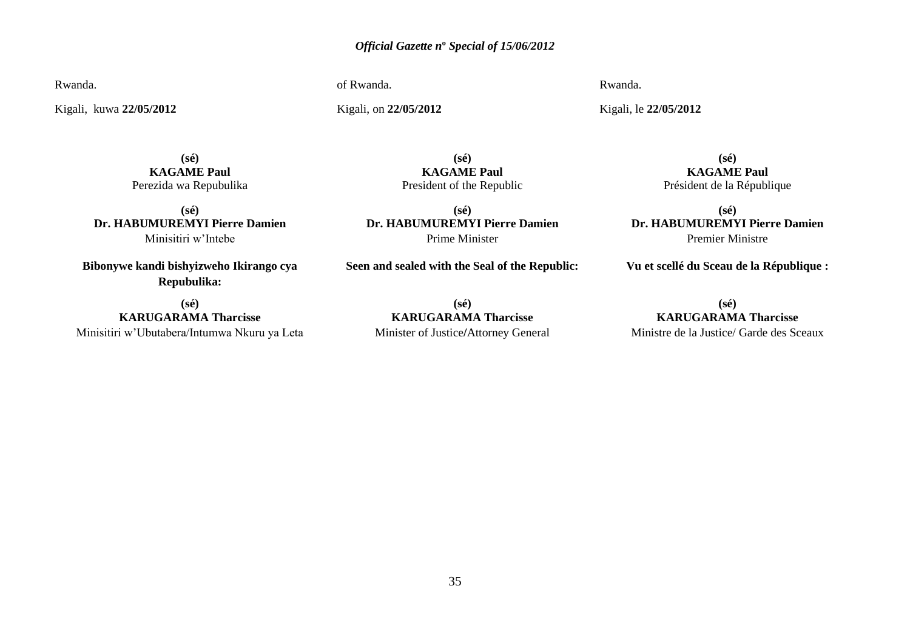Rwanda.

Kigali, kuwa **22/05/2012**

of Rwanda.

Kigali, on **22/05/2012** 

Rwanda.

Kigali, le **22/05/2012** 

**(sé) KAGAME Paul** Perezida wa Repubulika

**(sé) Dr. HABUMUREMYI Pierre Damien** Minisitiri w"Intebe

**Bibonywe kandi bishyizweho Ikirango cya Repubulika:**

**(sé) KARUGARAMA Tharcisse** Minisitiri w"Ubutabera/Intumwa Nkuru ya Leta

**(sé) KAGAME Paul** President of the Republic

**(sé) Dr. HABUMUREMYI Pierre Damien** Prime Minister

**Seen and sealed with the Seal of the Republic:**

**(sé) KARUGARAMA Tharcisse** Minister of Justice**/**Attorney General

**(sé) KAGAME Paul** Président de la République

**(sé) Dr. HABUMUREMYI Pierre Damien** Premier Ministre

**Vu et scellé du Sceau de la République :**

**(sé) KARUGARAMA Tharcisse** Ministre de la Justice/ Garde des Sceaux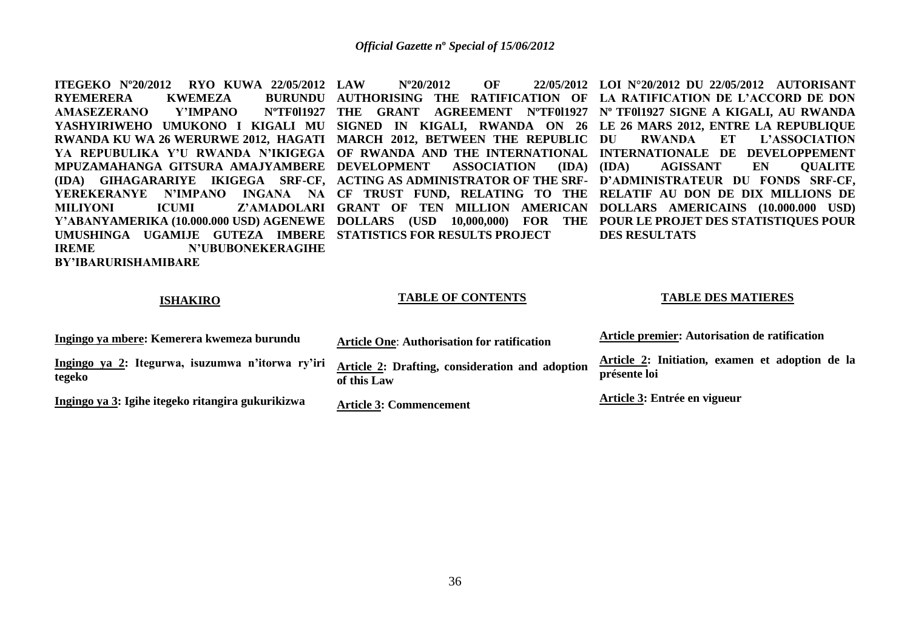**ITEGEKO Nº20/2012 RYO KUWA 22/05/2012 RYEMERERA KWEMEZA<br>AMASEZERANO Y'IMPANO AMASEZERANO YASHYIRIWEHO UMUKONO I KIGALI MU SIGNED IN KIGALI, RWANDA ON 26 LE 26 MARS 2012, ENTRE LA REPUBLIQUE RWANDA KU WA 26 WERURWE 2012, HAGATI MARCH 2012, BETWEEN THE REPUBLIC YA REPUBULIKA Y'U RWANDA N'IKIGEGA OF RWANDA AND THE INTERNATIONAL INTERNATIONALE DE DEVELOPPEMENT MPUZAMAHANGA GITSURA AMAJYAMBERE DEVELOPMENT ASSOCIATION (IDA) (IDA) GIHAGARARIYE IKIGEGA SRF-CF, ACTING AS ADMINISTRATOR OF THE SRF-D'ADMINISTRATEUR DU FONDS SRF-CF, YEREKERANYE N'IMPANO INGANA NA CF TRUST FUND, RELATING TO THE RELATIF AU DON DE DIX MILLIONS DE MILIYONI ICUMI Z'AMADOLARI GRANT OF TEN MILLION AMERICAN DOLLARS AMERICAINS (10.000.000 USD) Y'ABANYAMERIKA (10.000.000 USD) AGENEWE DOLLARS (USD 10,000,000) FOR THE POUR LE PROJET DES STATISTIQUES POUR UMUSHINGA UGAMIJE GUTEZA IMBERE STATISTICS FOR RESULTS PROJECT IREME N'UBUBONEKERAGIHE LAW Nº20/2012 OF 22/05/2012 LOI N°20/2012 DU 22/05/2012 AUTORISANT AUTHORISING THE RATIFICATION OF LA RATIFICATION DE L'ACCORD DE DON THE GRANT AGREEMENT NºTF0l1927 Nº TF0l1927 SIGNE A KIGALI, AU RWANDA** RWANDA ET L'ASSOCIATION **(IDA) AGISSANT EN QUALITE DES RESULTATS**

#### **ISHAKIRO**

**BY'IBARURISHAMIBARE**

#### **TABLE OF CONTENTS**

#### **TABLE DES MATIERES**

| Ingingo ya mbere: Kemerera kwemeza burundu                 | <b>Article One: Authorisation for ratification</b>             | Article premier: Autorisation de ratification                   |
|------------------------------------------------------------|----------------------------------------------------------------|-----------------------------------------------------------------|
| Ingingo ya 2: Itegurwa, isuzumwa n'itorwa ry'iri<br>tegeko | Article 2: Drafting, consideration and adoption<br>of this Law | Article 2: Initiation, examen et adoption de la<br>présente loi |
| Ingingo ya 3: Igihe itegeko ritangira gukurikizwa          | <b>Article 3: Commencement</b>                                 | Article 3: Entrée en vigueur                                    |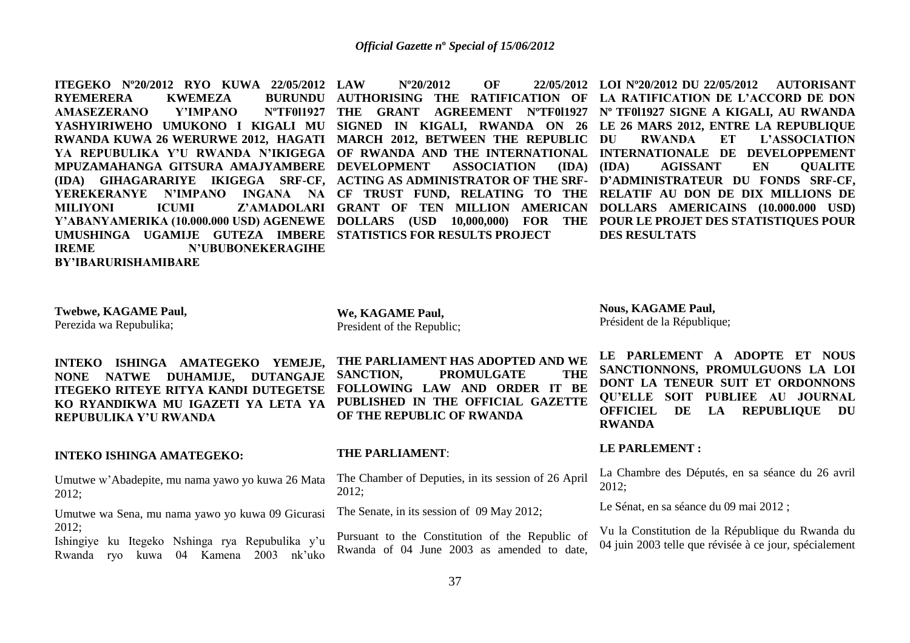**ITEGEKO Nº20/2012 RYO KUWA 22/05/2012 RYEMERERA KWEMEZA<br>AMASEZERANO Y'IMPANO AMASEZERANO YASHYIRIWEHO UMUKONO I KIGALI MU SIGNED IN KIGALI, RWANDA ON 26 LE 26 MARS 2012, ENTRE LA REPUBLIQUE RWANDA KUWA 26 WERURWE 2012, HAGATI MARCH 2012, BETWEEN THE REPUBLIC YA REPUBULIKA Y'U RWANDA N'IKIGEGA OF RWANDA AND THE INTERNATIONAL INTERNATIONALE DE DEVELOPPEMENT MPUZAMAHANGA GITSURA AMAJYAMBERE DEVELOPMENT ASSOCIATION (IDA) (IDA) GIHAGARARIYE IKIGEGA SRF-CF, ACTING AS ADMINISTRATOR OF THE SRF-D'ADMINISTRATEUR DU FONDS SRF-CF, YEREKERANYE N'IMPANO INGANA NA CF TRUST FUND, RELATING TO THE RELATIF AU DON DE DIX MILLIONS DE MILIYONI ICUMI Z'AMADOLARI GRANT OF TEN MILLION AMERICAN DOLLARS AMERICAINS (10.000.000 USD) Y'ABANYAMERIKA (10.000.000 USD) AGENEWE DOLLARS (USD 10,000,000) FOR THE POUR LE PROJET DES STATISTIQUES POUR UMUSHINGA UGAMIJE GUTEZA IMBERE STATISTICS FOR RESULTS PROJECT IREME N'UBUBONEKERAGIHE BY'IBARURISHAMIBARE**

**LAW Nº20/2012 OF 22/05/2012 LOI Nº20/2012 DU 22/05/2012 AUTORISANT AUTHORISING THE RATIFICATION OF LA RATIFICATION DE L'ACCORD DE DON THE GRANT AGREEMENT NºTF0l1927 Nº TF0l1927 SIGNE A KIGALI, AU RWANDA** RWANDA ET L'ASSOCIATION **(IDA) AGISSANT EN QUALITE DES RESULTATS**

**Twebwe, KAGAME Paul,** Perezida wa Repubulika;

**INTEKO ISHINGA AMATEGEKO YEMEJE, NONE NATWE DUHAMIJE, DUTANGAJE ITEGEKO RITEYE RITYA KANDI DUTEGETSE KO RYANDIKWA MU IGAZETI YA LETA YA REPUBULIKA Y'U RWANDA**

#### **INTEKO ISHINGA AMATEGEKO:**

Umutwe w"Abadepite, mu nama yawo yo kuwa 26 Mata 2012;

Umutwe wa Sena, mu nama yawo yo kuwa 09 Gicurasi 2012;

Ishingiye ku Itegeko Nshinga rya Repubulika y"u Rwanda ryo kuwa 04 Kamena 2003 nk"uko

**We, KAGAME Paul,** President of the Republic;

**THE PARLIAMENT HAS ADOPTED AND WE SANCTION, PROMULGATE THE FOLLOWING LAW AND ORDER IT BE PUBLISHED IN THE OFFICIAL GAZETTE OF THE REPUBLIC OF RWANDA**

#### **THE PARLIAMENT**:

The Chamber of Deputies, in its session of 26 April 2012;

The Senate, in its session of 09 May 2012;

Pursuant to the Constitution of the Republic of Rwanda of 04 June 2003 as amended to date,

**Nous, KAGAME Paul,** Président de la République;

**LE PARLEMENT A ADOPTE ET NOUS SANCTIONNONS, PROMULGUONS LA LOI DONT LA TENEUR SUIT ET ORDONNONS QU'ELLE SOIT PUBLIEE AU JOURNAL OFFICIEL DE LA REPUBLIQUE DU RWANDA**

# **LE PARLEMENT :**

La Chambre des Députés, en sa séance du 26 avril 2012;

Le Sénat, en sa séance du 09 mai 2012 ;

Vu la Constitution de la République du Rwanda du 04 juin 2003 telle que révisée à ce jour, spécialement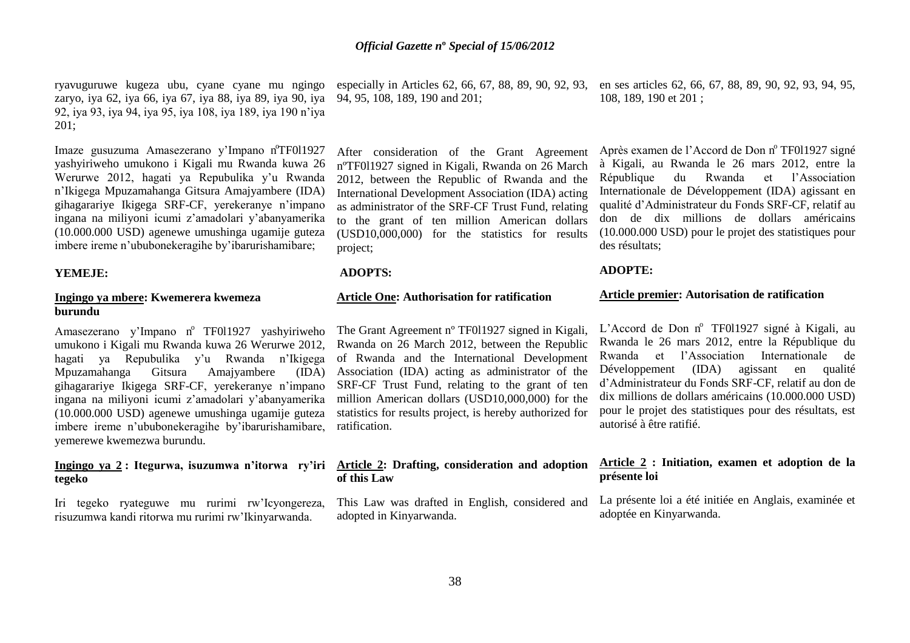ryavuguruwe kugeza ubu, cyane cyane mu ngingo zaryo, iya 62, iya 66, iya 67, iya 88, iya 89, iya 90, iya 92, iya 93, iya 94, iya 95, iya 108, iya 189, iya 190 n"iya 201;

Imaze gusuzuma Amasezerano y'Impano nºTF011927 yashyiriweho umukono i Kigali mu Rwanda kuwa 26 Werurwe 2012, hagati ya Repubulika y"u Rwanda n"Ikigega Mpuzamahanga Gitsura Amajyambere (IDA) gihagarariye Ikigega SRF-CF, yerekeranye n"impano ingana na miliyoni icumi z"amadolari y"abanyamerika (10.000.000 USD) agenewe umushinga ugamije guteza imbere ireme n"ububonekeragihe by"ibarurishamibare;

#### **YEMEJE:**

# **Ingingo ya mbere: Kwemerera kwemeza burundu**

Amasezerano y'Impano nº TF011927 yashyiriweho umukono i Kigali mu Rwanda kuwa 26 Werurwe 2012, hagati ya Repubulika y'u Rwanda n'Ikigega Mpuzamahanga Gitsura Amajyambere (IDA) gihagarariye Ikigega SRF-CF, yerekeranye n"impano ingana na miliyoni icumi z"amadolari y"abanyamerika (10.000.000 USD) agenewe umushinga ugamije guteza imbere ireme n"ububonekeragihe by"ibarurishamibare, yemerewe kwemezwa burundu.

# **tegeko**

Iri tegeko ryateguwe mu rurimi rw"Icyongereza, risuzumwa kandi ritorwa mu rurimi rw"Ikinyarwanda.

94, 95, 108, 189, 190 and 201;

After consideration of the Grant Agreement nºTF0l1927 signed in Kigali, Rwanda on 26 March 2012, between the Republic of Rwanda and the International Development Association (IDA) acting as administrator of the SRF-CF Trust Fund, relating to the grant of ten million American dollars (USD10,000,000) for the statistics for results project;

### **ADOPTS:**

## **Article One: Authorisation for ratification**

The Grant Agreement nº TF0l1927 signed in Kigali, Rwanda on 26 March 2012, between the Republic of Rwanda and the International Development Association (IDA) acting as administrator of the SRF-CF Trust Fund, relating to the grant of ten million American dollars (USD10,000,000) for the statistics for results project, is hereby authorized for ratification.

#### **Ingingo ya 2 : Itegurwa, isuzumwa n'itorwa ry'iri Article 2: Drafting, consideration and adoption of this Law**

This Law was drafted in English, considered and adopted in Kinyarwanda.

especially in Articles 62, 66, 67, 88, 89, 90, 92, 93, en ses articles 62, 66, 67, 88, 89, 90, 92, 93, 94, 95, 108, 189, 190 et 201 ;

> Après examen de l'Accord de Don nº TF011927 signé à Kigali, au Rwanda le 26 mars 2012, entre la République du Rwanda et l"Association Internationale de Développement (IDA) agissant en qualité d"Administrateur du Fonds SRF-CF, relatif au don de dix millions de dollars américains (10.000.000 USD) pour le projet des statistiques pour des résultats;

## **ADOPTE:**

#### **Article premier: Autorisation de ratification**

L'Accord de Don nº TF011927 signé à Kigali, au Rwanda le 26 mars 2012, entre la République du Rwanda et l"Association Internationale de Développement (IDA) agissant en qualité d"Administrateur du Fonds SRF-CF, relatif au don de dix millions de dollars américains (10.000.000 USD) pour le projet des statistiques pour des résultats, est autorisé à être ratifié.

#### **Article 2 : Initiation, examen et adoption de la présente loi**

La présente loi a été initiée en Anglais, examinée et adoptée en Kinyarwanda.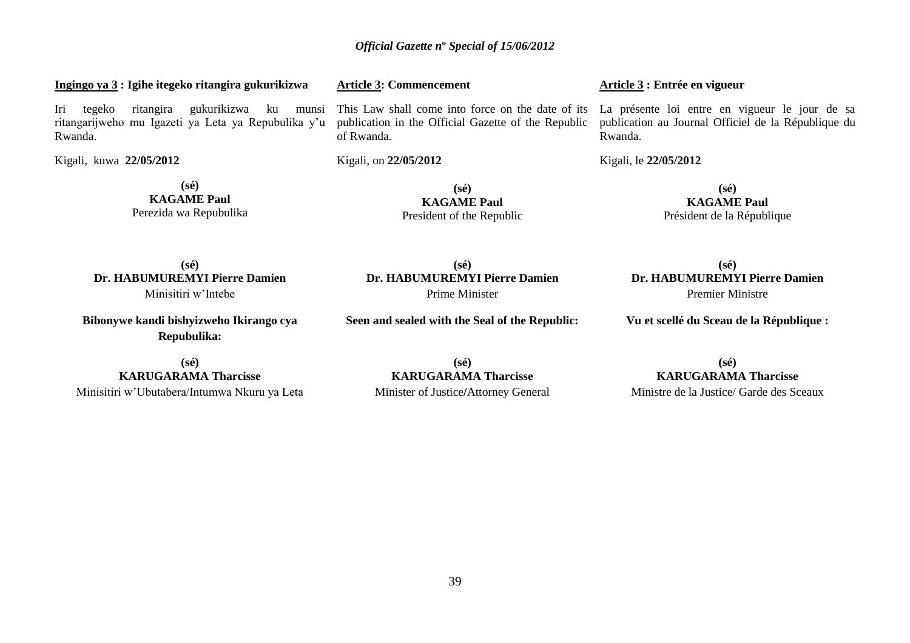# **Ingingo ya 3 : Igihe itegeko ritangira gukurikizwa**

Iri tegeko ritangira gukurikizwa ku munsi ritangarijweho mu Igazeti ya Leta ya Repubulika y"u Rwanda.

Kigali, kuwa **22/05/2012** 

**(sé) KAGAME Paul** Perezida wa Repubulika **Article 3: Commencement** 

This Law shall come into force on the date of its La présente loi entre en vigueur le jour de sa publication in the Official Gazette of the Republic of Rwanda.

Kigali, on **22/05/2012** 

**(sé) KAGAME Paul** President of the Republic

**(sé) Dr. HABUMUREMYI Pierre Damien** Prime Minister

**Seen and sealed with the Seal of the Republic:**

**KAGAME Paul** Président de la République

**(sé)**

publication au Journal Officiel de la République du

**Article 3 : Entrée en vigueur** 

Rwanda.

Kigali, le **22/05/2012** 

**(sé) Dr. HABUMUREMYI Pierre Damien** Minisitiri w"Intebe

**Bibonywe kandi bishyizweho Ikirango cya Repubulika:**

**(sé) KARUGARAMA Tharcisse** Minisitiri w"Ubutabera/Intumwa Nkuru ya Leta

**(sé) KARUGARAMA Tharcisse** Minister of Justice**/**Attorney General

**(sé) Dr. HABUMUREMYI Pierre Damien** Premier Ministre

**Vu et scellé du Sceau de la République :**

**KARUGARAMA Tharcisse**

**(sé)**

Ministre de la Justice/ Garde des Sceaux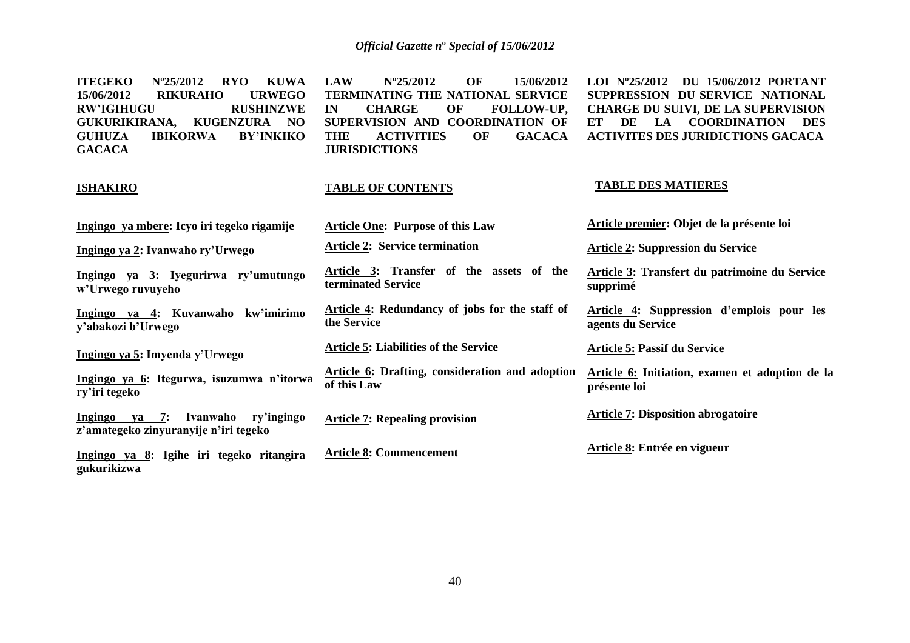**ITEGEKO Nº25/2012 RYO KUWA 15/06/2012 RIKURAHO URWEGO RW'IGIHUGU GUKURIKIRANA, KUGENZURA NO GUHUZA IBIKORWA BY'INKIKO GACACA**

**ISHAKIRO**

**LAW Nº25/2012 OF 15/06/2012 TERMINATING THE NATIONAL SERVICE<br>IN CHARGE OF FOLLOW-UP. IN CHARGE OF FOLLOW-UP, SUPERVISION AND COORDINATION OF THE ACTIVITIES OF GACACA JURISDICTIONS**

### **TABLE OF CONTENTS**

**LOI Nº25/2012 DU 15/06/2012 PORTANT SUPPRESSION DU SERVICE NATIONAL CHARGE DU SUIVI, DE LA SUPERVISION ET DE LA COORDINATION DES ACTIVITES DES JURIDICTIONS GACACA**

#### **TABLE DES MATIERES**

| Ingingo ya mbere: Icyo iri tegeko rigamije                                       | <b>Article One: Purpose of this Law</b>                        | Article premier: Objet de la présente loi                       |
|----------------------------------------------------------------------------------|----------------------------------------------------------------|-----------------------------------------------------------------|
| Ingingo ya 2: Ivanwaho ry'Urwego                                                 | <b>Article 2: Service termination</b>                          | <b>Article 2: Suppression du Service</b>                        |
| Ingingo ya 3: Iyegurirwa ry'umutungo<br>w'Urwego ruvuyeho                        | Article 3: Transfer of the assets of the<br>terminated Service | Article 3: Transfert du patrimoine du Service<br>supprimé       |
| Ingingo ya 4: Kuvanwaho<br>kw'imirimo<br>y'abakozi b'Urwego                      | Article 4: Redundancy of jobs for the staff of<br>the Service  | Article 4: Suppression d'emplois pour les<br>agents du Service  |
| Ingingo ya 5: Imyenda y'Urwego                                                   | <b>Article 5: Liabilities of the Service</b>                   | <b>Article 5: Passif du Service</b>                             |
| Ingingo ya 6: Itegurwa, isuzumwa n'itorwa<br>ry'iri tegeko                       | Article 6: Drafting, consideration and adoption<br>of this Law | Article 6: Initiation, examen et adoption de la<br>présente loi |
| ya 7: Ivanwaho<br>Ingingo<br>ry'ingingo<br>z'amategeko zinyuranyije n'iri tegeko | <b>Article 7: Repealing provision</b>                          | <b>Article 7: Disposition abrogatoire</b>                       |
| Ingingo ya 8: Igihe iri tegeko ritangira<br>gukurikizwa                          | <b>Article 8: Commencement</b>                                 | Article 8: Entrée en vigueur                                    |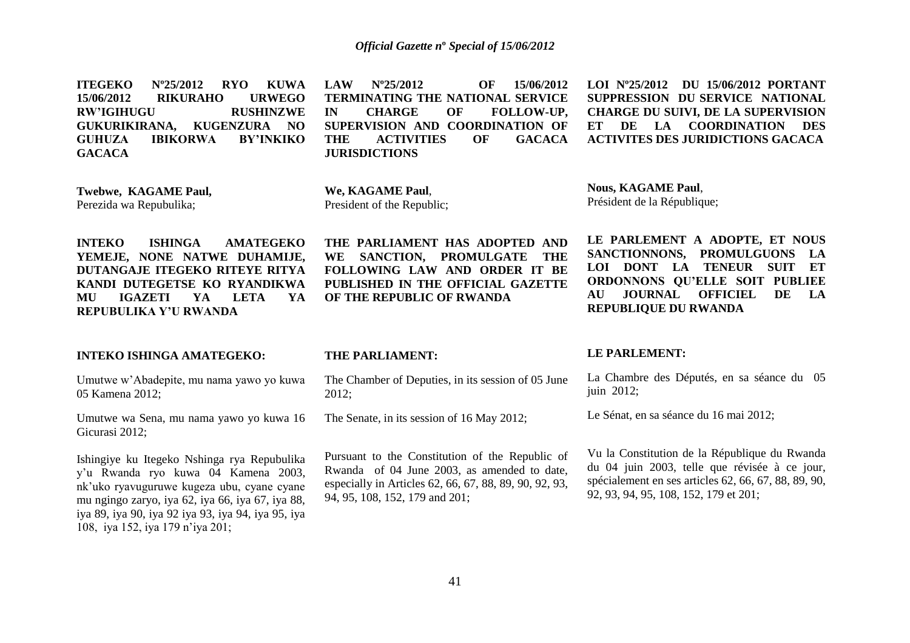**ITEGEKO Nº25/2012 RYO KUWA 15/06/2012 RIKURAHO URWEGO RW'IGIHUGU RUSHINZWE GUKURIKIRANA, KUGENZURA NO GUHUZA IBIKORWA BY'INKIKO GACACA**

**LAW Nº25/2012 OF 15/06/2012 TERMINATING THE NATIONAL SERVICE IN CHARGE OF FOLLOW-UP, SUPERVISION AND COORDINATION OF THE ACTIVITIES OF GACACA JURISDICTIONS**

**LOI Nº25/2012 DU 15/06/2012 PORTANT SUPPRESSION DU SERVICE NATIONAL CHARGE DU SUIVI, DE LA SUPERVISION ET DE LA COORDINATION DES ACTIVITES DES JURIDICTIONS GACACA**

**Twebwe, KAGAME Paul,** Perezida wa Repubulika;

**We, KAGAME Paul**, President of the Republic;

**INTEKO ISHINGA AMATEGEKO YEMEJE, NONE NATWE DUHAMIJE, DUTANGAJE ITEGEKO RITEYE RITYA KANDI DUTEGETSE KO RYANDIKWA MU IGAZETI YA LETA YA REPUBULIKA Y'U RWANDA**

#### **INTEKO ISHINGA AMATEGEKO:**

Umutwe w"Abadepite, mu nama yawo yo kuwa 05 Kamena 2012;

Umutwe wa Sena, mu nama yawo yo kuwa 16 Gicurasi 2012;

Ishingiye ku Itegeko Nshinga rya Repubulika y"u Rwanda ryo kuwa 04 Kamena 2003, nk"uko ryavuguruwe kugeza ubu, cyane cyane mu ngingo zaryo, iya 62, iya 66, iya 67, iya 88, iya 89, iya 90, iya 92 iya 93, iya 94, iya 95, iya 108, iya 152, iya 179 n"iya 201;

**THE PARLIAMENT HAS ADOPTED AND WE SANCTION, PROMULGATE THE FOLLOWING LAW AND ORDER IT BE PUBLISHED IN THE OFFICIAL GAZETTE OF THE REPUBLIC OF RWANDA**

**THE PARLIAMENT:** 

The Chamber of Deputies, in its session of 05 June 2012;

The Senate, in its session of 16 May 2012;

Pursuant to the Constitution of the Republic of Rwanda of 04 June 2003, as amended to date, especially in Articles 62, 66, 67, 88, 89, 90, 92, 93, 94, 95, 108, 152, 179 and 201;

**Nous, KAGAME Paul**, Président de la République;

**LE PARLEMENT A ADOPTE, ET NOUS SANCTIONNONS, PROMULGUONS LA LOI DONT LA TENEUR SUIT ET ORDONNONS QU'ELLE SOIT PUBLIEE AU JOURNAL OFFICIEL DE LA REPUBLIQUE DU RWANDA**

#### **LE PARLEMENT:**

La Chambre des Députés, en sa séance du 05 juin 2012;

Le Sénat, en sa séance du 16 mai 2012;

Vu la Constitution de la République du Rwanda du 04 juin 2003, telle que révisée à ce jour, spécialement en ses articles 62, 66, 67, 88, 89, 90, 92, 93, 94, 95, 108, 152, 179 et 201;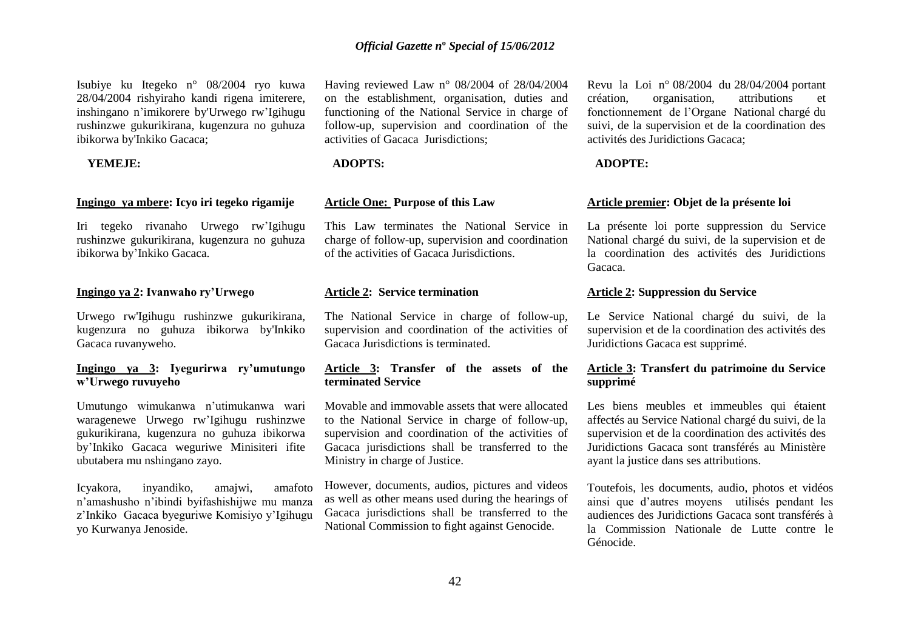Isubiye ku Itegeko n° 08/2004 ryo kuwa 28/04/2004 rishyiraho kandi rigena imiterere, inshingano n"imikorere by'Urwego rw"Igihugu rushinzwe gukurikirana, kugenzura no guhuza ibikorwa by'Inkiko Gacaca;

#### **YEMEJE:**

#### **Ingingo ya mbere: Icyo iri tegeko rigamije**

Iri tegeko rivanaho Urwego rw"Igihugu rushinzwe gukurikirana, kugenzura no guhuza ibikorwa by"Inkiko Gacaca.

#### **Ingingo ya 2: Ivanwaho ry'Urwego**

Urwego rw'Igihugu rushinzwe gukurikirana, kugenzura no guhuza ibikorwa by'Inkiko Gacaca ruvanyweho.

# **Ingingo ya 3: Iyegurirwa ry'umutungo w'Urwego ruvuyeho**

Umutungo wimukanwa n"utimukanwa wari waragenewe Urwego rw"Igihugu rushinzwe gukurikirana, kugenzura no guhuza ibikorwa by"Inkiko Gacaca weguriwe Minisiteri ifite ubutabera mu nshingano zayo.

Icyakora, inyandiko, amajwi, amafoto n"amashusho n"ibindi byifashishijwe mu manza z"Inkiko Gacaca byeguriwe Komisiyo y"Igihugu yo Kurwanya Jenoside.

Having reviewed Law n° 08/2004 of 28/04/2004 on the establishment, organisation, duties and functioning of the National Service in charge of follow-up, supervision and coordination of the activities of Gacaca Jurisdictions;

#### **ADOPTS:**

#### **Article One: Purpose of this Law**

This Law terminates the National Service in charge of follow-up, supervision and coordination of the activities of Gacaca Jurisdictions.

#### **Article 2: Service termination**

The National Service in charge of follow-up, supervision and coordination of the activities of Gacaca Jurisdictions is terminated.

#### **Article 3: Transfer of the assets of the terminated Service**

Movable and immovable assets that were allocated to the National Service in charge of follow-up, supervision and coordination of the activities of Gacaca jurisdictions shall be transferred to the Ministry in charge of Justice.

However, documents, audios, pictures and videos as well as other means used during the hearings of Gacaca jurisdictions shall be transferred to the National Commission to fight against Genocide.

Revu la Loi n° 08/2004 du 28/04/2004 portant création, organisation, attributions et fonctionnement de l"Organe National chargé du suivi, de la supervision et de la coordination des activités des Juridictions Gacaca;

#### **ADOPTE:**

#### **Article premier: Objet de la présente loi**

La présente loi porte suppression du Service National chargé du suivi, de la supervision et de la coordination des activités des Juridictions Gacaca.

# **Article 2: Suppression du Service**

Le Service National chargé du suivi, de la supervision et de la coordination des activités des Juridictions Gacaca est supprimé.

# **Article 3: Transfert du patrimoine du Service supprimé**

Les biens meubles et immeubles qui étaient affectés au Service National chargé du suivi, de la supervision et de la coordination des activités des Juridictions Gacaca sont transférés au Ministère ayant la justice dans ses attributions.

Toutefois, les documents, audio, photos et vidéos ainsi que d"autres moyens utilisés pendant les audiences des Juridictions Gacaca sont transférés à la Commission Nationale de Lutte contre le Génocide.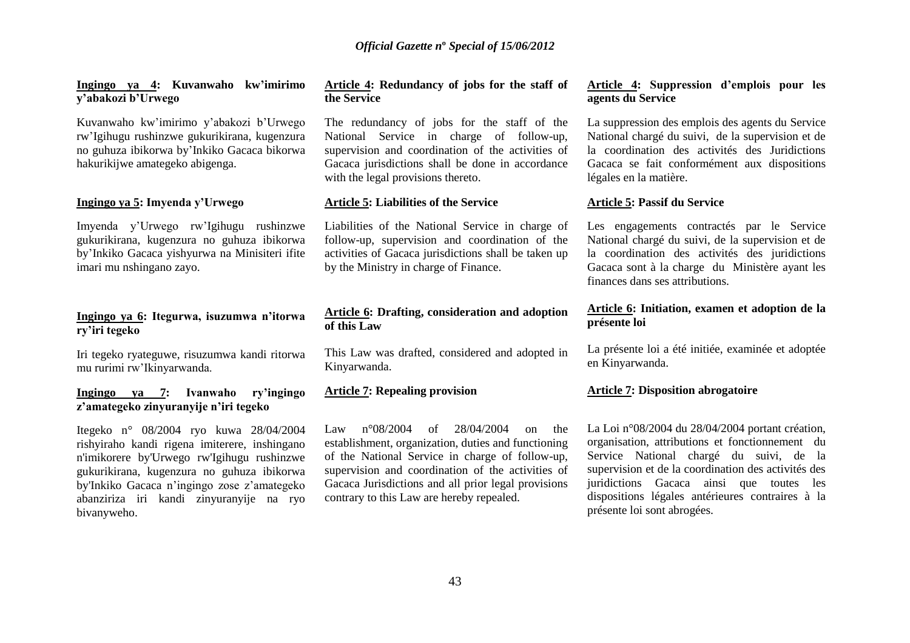#### **Ingingo ya 4: Kuvanwaho kw'imirimo y'abakozi b'Urwego**

Kuvanwaho kw"imirimo y"abakozi b"Urwego rw"Igihugu rushinzwe gukurikirana, kugenzura no guhuza ibikorwa by"Inkiko Gacaca bikorwa hakurikijwe amategeko abigenga.

#### **Ingingo ya 5: Imyenda y'Urwego**

Imyenda y"Urwego rw"Igihugu rushinzwe gukurikirana, kugenzura no guhuza ibikorwa by"Inkiko Gacaca yishyurwa na Minisiteri ifite imari mu nshingano zayo.

### **Ingingo ya 6: Itegurwa, isuzumwa n'itorwa ry'iri tegeko**

Iri tegeko ryateguwe, risuzumwa kandi ritorwa mu rurimi rw"Ikinyarwanda.

## **Ingingo ya 7: Ivanwaho ry'ingingo z'amategeko zinyuranyije n'iri tegeko**

Itegeko n° 08/2004 ryo kuwa 28/04/2004 rishyiraho kandi rigena imiterere, inshingano n'imikorere by'Urwego rw'Igihugu rushinzwe gukurikirana, kugenzura no guhuza ibikorwa by'Inkiko Gacaca n"ingingo zose z"amategeko abanziriza iri kandi zinyuranyije na ryo bivanyweho.

#### **Article 4: Redundancy of jobs for the staff of the Service**

The redundancy of jobs for the staff of the National Service in charge of follow-up, supervision and coordination of the activities of Gacaca jurisdictions shall be done in accordance with the legal provisions thereto.

#### **Article 5: Liabilities of the Service**

Liabilities of the National Service in charge of follow-up, supervision and coordination of the activities of Gacaca jurisdictions shall be taken up by the Ministry in charge of Finance.

# **Article 6: Drafting, consideration and adoption of this Law**

This Law was drafted, considered and adopted in Kinyarwanda.

## **Article 7: Repealing provision**

Law n°08/2004 of 28/04/2004 on the establishment, organization, duties and functioning of the National Service in charge of follow-up, supervision and coordination of the activities of Gacaca Jurisdictions and all prior legal provisions contrary to this Law are hereby repealed.

#### **Article 4: Suppression d'emplois pour les agents du Service**

La suppression des emplois des agents du Service National chargé du suivi, de la supervision et de la coordination des activités des Juridictions Gacaca se fait conformément aux dispositions légales en la matière.

#### **Article 5: Passif du Service**

Les engagements contractés par le Service National chargé du suivi, de la supervision et de la coordination des activités des juridictions Gacaca sont à la charge du Ministère ayant les finances dans ses attributions.

#### **Article 6: Initiation, examen et adoption de la présente loi**

La présente loi a été initiée, examinée et adoptée en Kinyarwanda.

# **Article 7: Disposition abrogatoire**

La Loi n°08/2004 du 28/04/2004 portant création, organisation, attributions et fonctionnement du Service National chargé du suivi, de la supervision et de la coordination des activités des juridictions Gacaca ainsi que toutes les dispositions légales antérieures contraires à la présente loi sont abrogées.